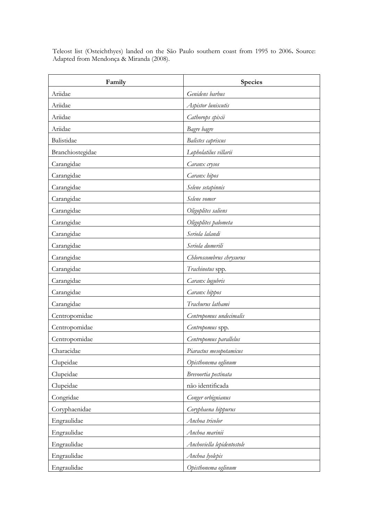Teleost list (Osteichthyes) landed on the São Paulo southern coast from 1995 to 2006**.** Source: Adapted from Mendonça & Miranda (2008).

| Family           | Species                    |
|------------------|----------------------------|
| Ariidae          | Genidens barbus            |
| Ariidae          | Aspistor luniscutis        |
| Ariidae          | Cathorops spixii           |
| Ariidae          | Bagre bagre                |
| Balistidae       | Balistes capriscus         |
| Branchiostegidae | Lopholatilus villarii      |
| Carangidae       | Caranx crysos              |
| Carangidae       | Caranx hipos               |
| Carangidae       | Selene setapinnis          |
| Carangidae       | Selene vomer               |
| Carangidae       | Oligoplites saliens        |
| Carangidae       | Oligoplites palometa       |
| Carangidae       | Seriola lalandi            |
| Carangidae       | Seriola dumerili           |
| Carangidae       | Chloroscombrus chrysurus   |
| Carangidae       | Trachinotus spp.           |
| Carangidae       | Caranx lugubris            |
| Carangidae       | Caranx hippos              |
| Carangidae       | Trachurus lathami          |
| Centropomidae    | Centropomus undecimalis    |
| Centropomidae    | Centropomus spp.           |
| Centropomidae    | Centropomus parallelus     |
| Characidae       | Piaractus mesopotamicus    |
| Clupeidae        | Opisthonema oglinum        |
| Clupeidae        | Brevoortia pectinata       |
| Clupeidae        | não identificada           |
| Congridae        | Conger orbignianus         |
| Coryphaenidae    | Coryphaena hippurus        |
| Engraulidae      | Anchoa tricolor            |
| Engraulidae      | Anchoa marinii             |
| Engraulidae      | Anchoviella lepidentostole |
| Engraulidae      | Anchoa lyolepis            |
| Engraulidae      | Opisthonema oglinum        |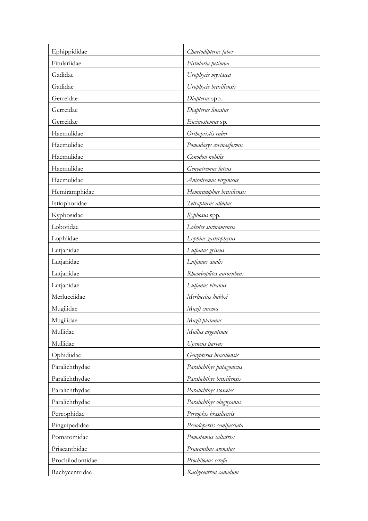| Ephippididae     | Chaetodipterus faber      |
|------------------|---------------------------|
| Fitulariidae     | Fistularia petimba        |
| Gadidae          | Urophycis mystacea        |
| Gadidae          | Urophycis brasiliensis    |
| Gerreidae        | Diapterus spp.            |
| Gerreidae        | Diapterus lineatus        |
| Gerreidae        | Eucinostomus sp.          |
| Haemulidae       | Orthopristis ruber        |
| Haemulidae       | Pomadasys covinaeformis   |
| Haemulidae       | Conodon nobilis           |
| Haemulidae       | Genyatremus luteus        |
| Haemulidae       | Anisotremus virginicus    |
| Hemiramphidae    | Hemiramphus brasiliensis  |
| Istiophoridae    | Tetrapturus albidus       |
| Kyphosidae       | Kyphosus spp.             |
| Lobotidae        | Lobotes surinamensis      |
| Lophiidae        | Lophius gastrophysus      |
| Lutjanidae       | Lutjanus griseus          |
| Lutjanidae       | Lutjanus analis           |
| Lutjanidae       | Rhomboplites aurorubens   |
| Lutjanidae       | Lutjanus vivanus          |
| Merlucciidae     | Merluccius hubbsi         |
| Mugilidae        | Mugil curema              |
| Mugilidae        | Mugil platanus            |
| Mullidae         | Mullus argentinae         |
| Mullidae         | Upeneus parvus            |
| Ophidiidae       | Genypterus brasiliensis   |
| Paralichthydae   | Paralichthys patagonicus  |
| Paralichthydae   | Paralichthys brasiliensis |
| Paralichthydae   | Paralichthys isosceles    |
| Paralichthydae   | Paralichthys obignyanus   |
| Percophidae      | Percophis brasiliensis    |
| Pinguipedidae    | Pseudopersis semifasciata |
| Pomatomidae      | Pomatomus saltatrix       |
| Priacanthidae    | Priacanthus arenatus      |
| Prochilodontidae | Prochilodus scrofa        |
| Rachycentridae   | Rachycentron canadum      |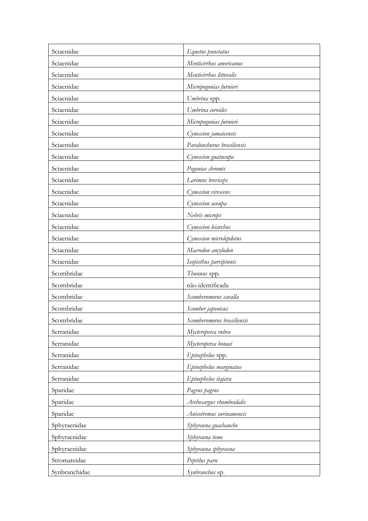| Sciaenidae    | Equetus punctatus          |
|---------------|----------------------------|
| Sciaenidae    | Menticirrhus americanus    |
| Sciaenidae    | Menticirrhus littoralis    |
| Sciaenidae    | Micropogonias furnieri     |
| Sciaenidae    | Umbrina spp.               |
| Sciaenidae    | Umbrina coroides           |
| Sciaenidae    | Micropogonias furnieri     |
| Sciaenidae    | Cynoscion jamaicensis      |
| Sciaenidae    | Paralonchurus brasiliensis |
| Sciaenidae    | Cynoscion guatucupa        |
| Sciaenidae    | Pogonias chromis           |
| Sciaenidae    | Larimus breviceps          |
| Sciaenidae    | Cynoscion virescens        |
| Sciaenidae    | Cynoscion acoupa           |
| Sciaenidae    | Nebris microps             |
| Sciaenidae    | Cynoscion leiarchus        |
| Sciaenidae    | Cynoscion microlepdotus    |
| Sciaenidae    | Macrodon ancylodon         |
| Sciaenidae    | Isopisthus parvipinnis     |
| Scombridae    | Thunnus spp.               |
| Scombridae    | não identificada           |
| Scombridae    | Scomberomorus cavalla      |
| Scombridae    | Scomber japonicus          |
| Scombridae    | Scomberomorus brasiliensis |
| Serranidae    | Mycteroperca rubra         |
| Serranidae    | Mycteroperca bonaci        |
| Serranidae    | Epinephelus spp.           |
| Serranidae    | Epinephelus marginatus     |
| Serranidae    | Epinephelus itajara        |
| Sparidae      | Pagrus pagrus              |
| Sparidae      | Archosargus rhomboidalis   |
| Sparidae      | Anisotremus surinamensis   |
| Sphyraenidae  | Sphyraena guachancho       |
| Sphyraenidae  | Sphyraena tome             |
| Sphyraenidae  | Sphyraena sphyraena        |
| Stromateidae  | Peprilus paru              |
| Synbranchidae | Synbranchus sp.            |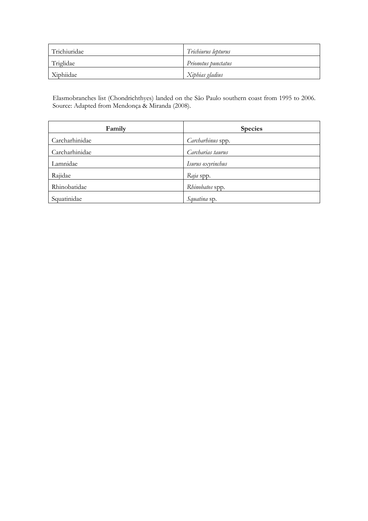| Trichiuridae | Trichiurus lepturus |
|--------------|---------------------|
| Triglidae    | Prionotus punctatus |
| Xiphiidae    | Xiphias gladius     |

Elasmobranches list (Chondrichthyes) landed on the São Paulo southern coast from 1995 to 2006. Source: Adapted from Mendonça & Miranda (2008).

| Family         | <b>Species</b>    |
|----------------|-------------------|
| Carcharhinidae | Carcharhinus spp. |
| Carcharhinidae | Carcharias taurus |
| Lamnidae       | Isurus oxyrinchus |
| Rajidae        | Raja spp.         |
| Rhinobatidae   | Rhinobatos spp.   |
| Squatinidae    | Squatina sp.      |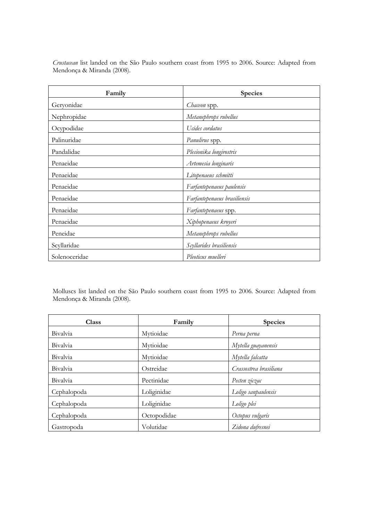| Family        | <b>Species</b>               |
|---------------|------------------------------|
| Geryonidae    | Chaceon spp.                 |
| Nephropidae   | Metanephrops rubellus        |
| Ocypodidae    | Ucides cordatus              |
| Palinuridae   | Panulirus spp.               |
| Pandalidae    | Plesionika longirostris      |
| Penaeidae     | Artemesia longinaris         |
| Penaeidae     | Litopenaeus schmitti         |
| Penaeidae     | Farfantepenaeus paulensis    |
| Penaeidae     | Farfantepenaeus brasiliensis |
| Penaeidae     | Farfantepenaeus spp.         |
| Penaeidae     | Xiphopenaeus kroyeri         |
| Peneidae      | Metanephrops rubellus        |
| Scyllaridae   | Scyllarides brasiliensis     |
| Solenoceridae | Pleoticus muelleri           |

*Crustacean* list landed on the São Paulo southern coast from 1995 to 2006. Source: Adapted from Mendonça & Miranda (2008).

Molluscs list landed on the São Paulo southern coast from 1995 to 2006. Source: Adapted from Mendonça & Miranda (2008).

| <b>Class</b>    | Family      | <b>Species</b>         |
|-----------------|-------------|------------------------|
| Bivalvia        | Mytioidae   | Perna perna            |
| Bivalvia        | Mytioidae   | Mytella guayanensis    |
| <b>Bivalvia</b> | Mytioidae   | Mytella falcatta       |
| Bivalvia        | Ostreidae   | Crassostrea brasiliana |
| Bivalvia        | Pectinidae  | Pecten ziczac          |
| Cephalopoda     | Loliginidae | Loligo sanpaulensis    |
| Cephalopoda     | Loliginidae | Loligo plei            |
| Cephalopoda     | Octopodidae | Octopus vulgaris       |
| Gastropoda      | Volutidae   | Zidona dufresnei       |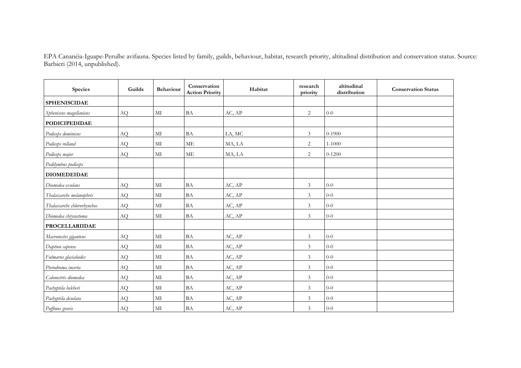EPA Cananéia-Iguape-Peruíbe avifauna. Species listed by family, guilds, behaviour, habitat, research priority, altitudinal distribution and conservation status. Source: Barbieri (2014, unpublished).

| Species                     | Guilds | Behaviour | Conservation<br><b>Action Priority</b> | Habitat | research<br>priority | altitudinal<br>distribution | <b>Conservation Status</b> |
|-----------------------------|--------|-----------|----------------------------------------|---------|----------------------|-----------------------------|----------------------------|
| <b>SPHENISCIDAE</b>         |        |           |                                        |         |                      |                             |                            |
| Spheniscus magellanicus     | AQ     | $\rm MI$  | <b>BA</b>                              | AC, AP  | $\overline{2}$       | $0-0$                       |                            |
| <b>PODICIPEDIDAE</b>        |        |           |                                        |         |                      |                             |                            |
| Podiceps dominicus          | AQ     | MI        | <b>BA</b>                              | LA, MC  | 3                    | $0 - 1900$                  |                            |
| Podiceps rolland            | AQ     | MI        | <b>ME</b>                              | MA, LA  | $\overline{c}$       | 1-1000                      |                            |
| Podiceps major              | AQ     | $\rm MI$  | <b>ME</b>                              | MA, LA  | $\overline{2}$       | $0 - 1200$                  |                            |
| Podilymbus podiceps         |        |           |                                        |         |                      |                             |                            |
| <b>DIOMEDEIDAE</b>          |        |           |                                        |         |                      |                             |                            |
| Diomedea exulans            | AQ     | MI        | <b>BA</b>                              | AC, AP  | 3                    | $0 - 0$                     |                            |
| Thalassarche melanophris    | AQ     | $\rm MI$  | <b>BA</b>                              | AC, AP  | $\mathfrak{Z}$       | $0-0$                       |                            |
| Thalassarche chlororhynchos | AQ     | MI        | BA                                     | AC, AP  | $\mathfrak{Z}$       | $0 - 0$                     |                            |
| Diomedea chrysostoma        | AQ     | MI        | <b>BA</b>                              | AC, AP  | 3                    | $0 - 0$                     |                            |
| <b>PROCELLARIIDAE</b>       |        |           |                                        |         |                      |                             |                            |
| Macronectes giganteus       | AQ     | MI        | BA                                     | AC, AP  | 3                    | $0 - 0$                     |                            |
| Daption capense             | AQ     | $\rm MI$  | <b>BA</b>                              | AC, AP  | $\overline{3}$       | $0 - 0$                     |                            |
| Fulmarus glacialoides       | AQ     | MI        | <b>BA</b>                              | AC, AP  | 3                    | $0 - 0$                     |                            |
| Pterodroma incerta          | AQ     | MI        | <b>BA</b>                              | AC, AP  | $\mathfrak{Z}$       | $0 - 0$                     |                            |
| Calonectris diomedea        | AQ     | MI        | <b>BA</b>                              | AC, AP  | $\mathfrak{Z}$       | $0 - 0$                     |                            |
| Pachyptila belcheri         | AQ     | MI        | BA                                     | AC, AP  | 3                    | $0 - 0$                     |                            |
| Pachyptila desolata         | AQ     | MI        | <b>BA</b>                              | AC, AP  | $\mathfrak{Z}$       | $0-0$                       |                            |
| Puffinus gravis             | AQ     | MI        | <b>BA</b>                              | AC, AP  | 3                    | $0-0$                       |                            |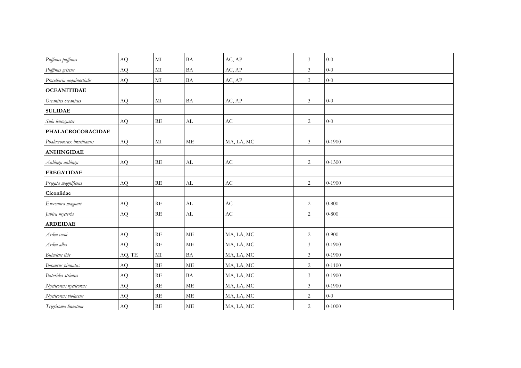| Puffinus puffinus          | AQ        | $\rm MI$                | <b>BA</b>                  | AC, AP                 | $\mathfrak{Z}$ | $0 - 0$    |
|----------------------------|-----------|-------------------------|----------------------------|------------------------|----------------|------------|
| Puffinus griseus           | AQ        | $\rm MI$                | $\ensuremath{\mathsf{BA}}$ | AC, AP                 | $\mathfrak{Z}$ | $0 - 0$    |
| Procellaria aequinoctialis | AQ        | MI                      | $\ensuremath{\mathsf{BA}}$ | AC, AP                 | $\mathfrak{Z}$ | $0 - 0$    |
| <b>OCEANITIDAE</b>         |           |                         |                            |                        |                |            |
| Oceanites oceanicus        | $\rm{AQ}$ | $\rm MI$                | $\ensuremath{\mathsf{BA}}$ | AC, AP                 | $\mathfrak{Z}$ | $0-0$      |
| <b>SULIDAE</b>             |           |                         |                            |                        |                |            |
| Sula leucogaster           | AQ        | $\mathbf{RE}$           | ${\rm AL}$                 | $\mathbf{A}\mathbf{C}$ | $\sqrt{2}$     | $0-0$      |
| PHALACROCORACIDAE          |           |                         |                            |                        |                |            |
| Phalacrocorax brasilianus  | AQ        | MI                      | ME                         | MA, LA, MC             | $\mathfrak{Z}$ | $0 - 1900$ |
| <b>ANHINGIDAE</b>          |           |                         |                            |                        |                |            |
| Anhinga anhinga            | AQ        | $\mathbb{R}\mathcal{E}$ | $\mathrm{AL}$              | $\mathbf{A}\mathbf{C}$ | 2              | $0 - 1300$ |
| <b>FREGATIDAE</b>          |           |                         |                            |                        |                |            |
| Fregata magnificens        | $\rm{AQ}$ | $\mathbf{RE}$           | AL                         | $\mathbf{A}\mathbf{C}$ | 2              | $0 - 1900$ |
| Ciconiidae                 |           |                         |                            |                        |                |            |
| Euxenura maguari           | AQ        | RE                      | AL                         | $\mathbf{A}\mathbf{C}$ | 2              | $0 - 800$  |
| Jabiru mycteria            | AQ        | RE                      | AL                         | $\mathbf{A}\mathbf{C}$ | $\overline{2}$ | $0 - 800$  |
| <b>ARDEIDAE</b>            |           |                         |                            |                        |                |            |
| Ardea cocoi                | AQ        | RE                      | ME                         | MA, LA, MC             | $\sqrt{2}$     | $0 - 900$  |
| Ardea alba                 | AQ        | RE                      | <b>ME</b>                  | MA, LA, MC             | $\mathfrak{Z}$ | $0 - 1900$ |
| Bubulcus ibis              | AQ, TE    | $\rm MI$                | $\mathbf{BA}$              | MA, LA, MC             | $\mathfrak{Z}$ | $0 - 1900$ |
| Botaurus pinnatus          | AQ        | RE                      | <b>ME</b>                  | MA, LA, MC             | 2              | $0 - 1100$ |
| <b>Butorides</b> striatus  | AQ        | RE                      | $\ensuremath{\mathsf{BA}}$ | MA, LA, MC             | $\mathfrak{Z}$ | $0 - 1900$ |
| Nycticorax nycticorax      | AQ        | $\mathbb{R}\mathcal{E}$ | $\operatorname{ME}$        | MA, LA, MC             | $\mathfrak{Z}$ | $0 - 1900$ |
| Nycticorax violaceus       | AQ        | RE                      | $\operatorname{ME}$        | MA, LA, MC             | 2              | $0-0$      |
| Trigrisoma lineatum        | AQ        | RE                      | ME                         | MA, LA, MC             | $\sqrt{2}$     | $0 - 1000$ |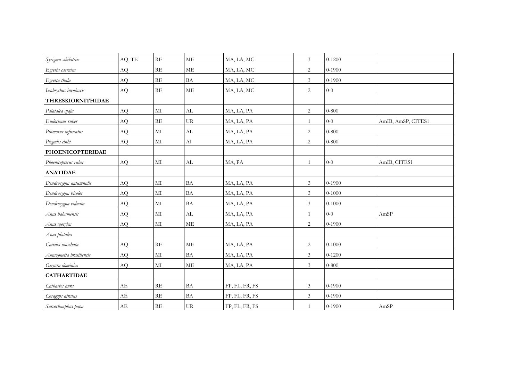| Syrigma sibilatrix       | AQ, TE | RE            | ME             | MA, LA, MC     | $\mathfrak{Z}$ | $0 - 1200$ |                    |
|--------------------------|--------|---------------|----------------|----------------|----------------|------------|--------------------|
| Egretta caerulea         | AQ     | $\mathbf{RE}$ | $\rm ME$       | MA, LA, MC     | $\overline{c}$ | $0 - 1900$ |                    |
| Egretta thula            | AQ     | RE            | <b>BA</b>      | MA, LA, MC     | $\mathfrak{Z}$ | $0 - 1900$ |                    |
| Ixobrychus involucris    | AQ     | RE            | $\rm ME$       | MA, LA, MC     | $\sqrt{2}$     | $0 - 0$    |                    |
| <b>THRESKIORNITHIDAE</b> |        |               |                |                |                |            |                    |
| Palatalea ajaja          | AQ     | $\rm MI$      | AL             | MA, LA, PA     | $\sqrt{2}$     | $0 - 800$  |                    |
| Eudocimus ruber          | AQ     | $\mathbf{RE}$ | UR             | MA, LA, PA     | $\mathbf{1}$   | $0 - 0$    | AmIB, AmSP, CITES1 |
| Phimosus infuscatus      | AQ     | MI            | AL             | MA, LA, PA     | $\overline{c}$ | $0 - 800$  |                    |
| Plegadis chihi           | AQ     | $\rm MI$      | A <sub>1</sub> | MA, LA, PA     | 2              | $0 - 800$  |                    |
| <b>PHOENICOPTERIDAE</b>  |        |               |                |                |                |            |                    |
| Phoenicopterus ruber     | AQ     | MI            | AL             | MA, PA         | $\mathbf{1}$   | $0-0$      | AmIB, CITES1       |
| <b>ANATIDAE</b>          |        |               |                |                |                |            |                    |
| Dendrocygna autumnalis   | AQ     | $\rm MI$      | <b>BA</b>      | MA, LA, PA     | $\mathfrak{Z}$ | $0 - 1900$ |                    |
| Dendrocygna bicolor      | AQ     | MI            | <b>BA</b>      | MA, LA, PA     | $\mathfrak{Z}$ | $0 - 1000$ |                    |
| Dendrocygna viduata      | AQ     | $\rm MI$      | <b>BA</b>      | MA, LA, PA     | $\mathfrak{Z}$ | $0 - 1000$ |                    |
| Anas bahamensis          | AQ     | $\rm MI$      | AL             | MA, LA, PA     | $\mathbf{1}$   | $0-0$      | AmSP               |
| Anas georgica            | AQ     | $\rm MI$      | ME             | MA, LA, PA     | $\overline{c}$ | $0 - 1900$ |                    |
| Anas platalea            |        |               |                |                |                |            |                    |
| Cairina moschata         | AQ     | $\mathbf{RE}$ | <b>ME</b>      | MA, LA, PA     | $\overline{c}$ | $0 - 1000$ |                    |
| Amazonetta brasiliensis  | AQ     | MI            | <b>BA</b>      | MA, LA, PA     | $\mathfrak{Z}$ | $0 - 1200$ |                    |
| Oxyura dominica          | AQ     | $\rm MI$      | $\rm ME$       | MA, LA, PA     | 3              | $0 - 800$  |                    |
| <b>CATHARTIDAE</b>       |        |               |                |                |                |            |                    |
| Cathartes aura           | AE     | $\mathbf{RE}$ | BA             | FP, FL, FR, FS | $\mathfrak{Z}$ | $0 - 1900$ |                    |
| Coragyps atratus         | AE     | RE            | <b>BA</b>      | FP, FL, FR, FS | $\mathfrak{Z}$ | $0 - 1900$ |                    |
| Sarcorhanphus papa       | AE     | RE            | UR             | FP, FL, FR, FS | $\mathbf{1}$   | $0 - 1900$ | ${\rm AmSP}$       |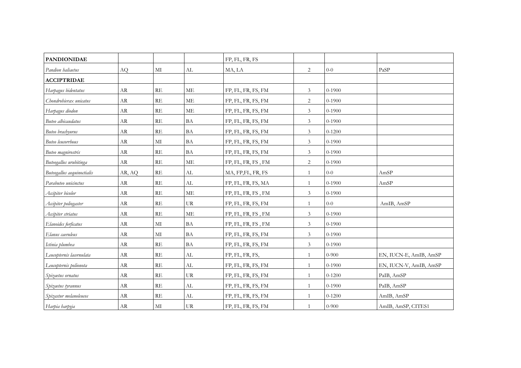| <b>PANDIONIDAE</b>         |            |               |                            | FP, FL, FR, FS     |                |            |                        |
|----------------------------|------------|---------------|----------------------------|--------------------|----------------|------------|------------------------|
| Pandion haliaetus          | AQ         | $\rm MI$      | AL                         | MA, LA             | 2              | $0-0$      | PaSP                   |
| <b>ACCIPTRIDAE</b>         |            |               |                            |                    |                |            |                        |
| Harpagus bidentatus        | AR         | RE            | <b>ME</b>                  | FP, FL, FR, FS, FM | $\mathfrak{Z}$ | $0 - 1900$ |                        |
| Chondrohierax unicatus     | AR         | RE            | <b>ME</b>                  | FP, FL, FR, FS, FM | $\overline{c}$ | $0 - 1900$ |                        |
| Harpagus diodon            | AR         | RE            | <b>ME</b>                  | FP, FL, FR, FS, FM | $\mathfrak{Z}$ | $0 - 1900$ |                        |
| Buteo albicaudatus         | ${\rm AR}$ | $\mathbf{RE}$ | <b>BA</b>                  | FP, FL, FR, FS, FM | $\mathfrak{Z}$ | $0 - 1900$ |                        |
| Buteo brachyurus           | AR         | RE            | <b>BA</b>                  | FP, FL, FR, FS, FM | $\mathfrak{Z}$ | $0 - 1200$ |                        |
| Buteo leucorrhous          | AR         | MI            | BA                         | FP, FL, FR, FS, FM | $\mathfrak{Z}$ | $0 - 1900$ |                        |
| Buteo magnirostris         | AR         | RE            | <b>BA</b>                  | FP, FL, FR, FS, FM | $\mathfrak{Z}$ | $0 - 1900$ |                        |
| Buteogallus urubitinga     | AR         | RE            | <b>ME</b>                  | FP, FL, FR, FS, FM | $\overline{2}$ | $0 - 1900$ |                        |
| Buteogallus aequinoctialis | AR, AQ     | RE            | AL                         | MA, FP,FL, FR, FS  | $\mathbf{1}$   | $0-0$      | AmSP                   |
| Parabuteo unicinctus       | AR         | RE            | AL                         | FP, FL, FR, FS, MA | $\mathbf{1}$   | $0 - 1900$ | AmSP                   |
| Accipiter bicolor          | AR         | RE            | <b>ME</b>                  | FP, FL, FR, FS, FM | 3              | $0 - 1900$ |                        |
| Accipiter poliogaster      | AR         | RE            | UR                         | FP, FL, FR, FS, FM | $\mathbf{1}$   | $0 - 0$    | AmIB, AmSP             |
| Accipiter striatus         | AR         | RE            | <b>ME</b>                  | FP, FL, FR, FS, FM | 3              | $0 - 1900$ |                        |
| Elanoides forficatus       | AR         | $\mathbf{M}$  | <b>BA</b>                  | FP, FL, FR, FS, FM | 3              | $0 - 1900$ |                        |
| Elanus caeruleus           | AR         | $\mathbf{M}$  | $\ensuremath{\mathsf{BA}}$ | FP, FL, FR, FS, FM | $\mathfrak{Z}$ | $0 - 1900$ |                        |
| Ictinia plumbea            | AR         | RE            | BA                         | FP, FL, FR, FS, FM | 3              | $0 - 1900$ |                        |
| Leucopternis lacernulata   | AR         | RE            | AL                         | FP, FL, FR, FS,    | $\mathbf{1}$   | $0 - 900$  | EN, IUCN-E, AmIB, AmSP |
| Leucopternis polionota     | ${\rm AR}$ | RE            | AL                         | FP, FL, FR, FS, FM | $\mathbf{1}$   | $0 - 1900$ | EN, IUCN-V, AmIB, AmSP |
| Spizaetus ornatus          | AR         | RE            | <b>UR</b>                  | FP, FL, FR, FS, FM | $\mathbf{1}$   | $0 - 1200$ | PaIB, AmSP             |
| Spizaetus tyrannus         | AR         | RE            | AL                         | FP, FL, FR, FS, FM | $\mathbf{1}$   | $0-1900$   | PaIB, AmSP             |
| Spizastur melanoleucos     | AR         | RE            | AL                         | FP, FL, FR, FS, FM | 1              | $0 - 1200$ | AmIB, AmSP             |
| Harpia harpyja             | AR         | MI            | UR                         | FP, FL, FR, FS, FM | $\mathbf{1}$   | $0 - 900$  | AmIB, AmSP, CITES1     |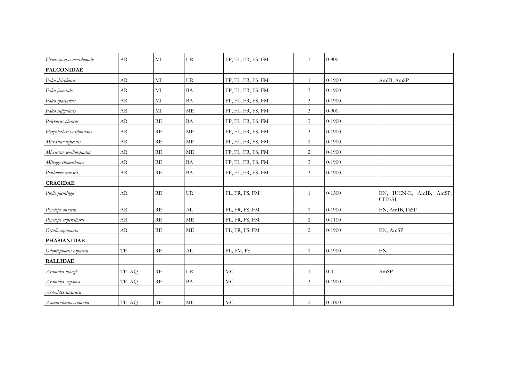| Heterospizias meridionalis | AR         | $\mathbf{M}$  | <b>UR</b>                         | FP, FL, FR, FS, FM | -1             | $0 - 900$  |                                   |
|----------------------------|------------|---------------|-----------------------------------|--------------------|----------------|------------|-----------------------------------|
| <b>FALCONIDAE</b>          |            |               |                                   |                    |                |            |                                   |
| Falco deiroleucus          | <b>AR</b>  | $\mathbf{M}$  | <b>UR</b>                         | FP, FL, FR, FS, FM | 1              | $0 - 1900$ | AmIB, AmSP                        |
| Falco femoralis            | AR         | MI            | <b>BA</b>                         | FP, FL, FR, FS, FM | $\mathfrak{Z}$ | $0 - 1900$ |                                   |
| Falco sparverius           | AR         | MI            | <b>BA</b>                         | FP, FL, FR, FS, FM | $\mathfrak{Z}$ | $0 - 1900$ |                                   |
| Falco rufigularis          | AR         | MI            | <b>ME</b>                         | FP, FL, FR, FS, FM | $\mathfrak{Z}$ | $0-900$    |                                   |
| Polyborus plancus          | ${\rm AR}$ | RE            | $\ensuremath{\mathsf{BA}}$        | FP, FL, FR, FS, FM | $\mathfrak{Z}$ | $0 - 1900$ |                                   |
| Herpetotheres cachinnans   | AR         | RE            | <b>ME</b>                         | FP, FL, FR, FS, FM | $\mathfrak{Z}$ | $0 - 1900$ |                                   |
| Micrastur ruficollis       | AR         | RE            | ME                                | FP, FL, FR, FS, FM | 2              | $0 - 1900$ |                                   |
| Micrastur semitorquatus    | AR         | RE            | $\operatorname{ME}$               | FP, FL, FR, FS, FM | 2              | $0 - 1900$ |                                   |
| Milvago chimachima         | AR         | RE            | BA                                | FP, FL, FR, FS, FM | $\mathfrak{Z}$ | $0 - 1900$ |                                   |
| Poliburus carcara          | AR         | RE            | <b>BA</b>                         | FP, FL, FR, FS, FM | $\mathfrak{Z}$ | $0 - 1900$ |                                   |
| <b>CRACIDAE</b>            |            |               |                                   |                    |                |            |                                   |
| Pipile jacutinga           | AR         | $\mathbf{RE}$ | $\ensuremath{\mathrm{UR}}\xspace$ | FL, FR, FS, FM     | $\mathbf{1}$   | $0 - 1300$ | EN, IUCN-E, AmIB, AmSP,<br>CITES1 |
| Penelope obscura           | AR         | RE            | AL                                | FL, FR, FS, FM     | 1              | $0 - 1900$ | EN, AmIB, PaSP                    |
| Penelope superciliaris     | AR         | RE            | <b>ME</b>                         | FL, FR, FS, FM     | $\overline{c}$ | $0 - 1100$ |                                   |
| Ortalis squamata           | AR         | RE            | <b>ME</b>                         | FL, FR, FS, FM     | 2              | $0 - 1900$ | EN, AmSP                          |
| <b>PHASIANIDAE</b>         |            |               |                                   |                    |                |            |                                   |
| Odontophorus capueira      | TE         | $\mathbf{RE}$ | AL                                | FL, FM, FS         | 1              | $0 - 1900$ | $\mathop{\rm EN}\nolimits$        |
| <b>RALLIDAE</b>            |            |               |                                   |                    |                |            |                                   |
| Aramides mangle            | TE, AQ     | RE            | <b>UR</b>                         | MC                 | $\mathbf{1}$   | $0 - 0$    | AmSP                              |
| Aramides cajanea           | TE, AQ     | RE            | <b>BA</b>                         | MC                 | 3              | $0 - 1900$ |                                   |
| Aramides saracura          |            |               |                                   |                    |                |            |                                   |
| Amaurolimnas concolor      | TE, AQ     | RE            | <b>ME</b>                         | $\rm MC$           | $\overline{c}$ | $0 - 1000$ |                                   |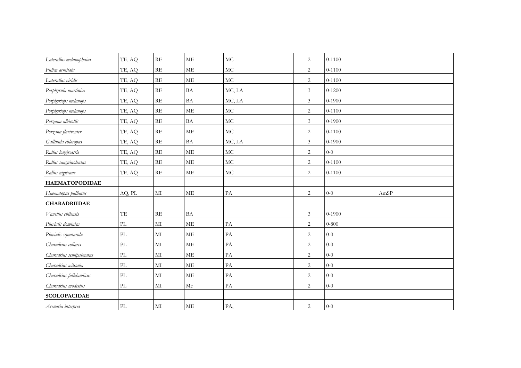| Laterallus melanophaius | TE, AQ                   | RE                      | <b>ME</b> | MC            | $\overline{c}$              | $0 - 1100$ |      |
|-------------------------|--------------------------|-------------------------|-----------|---------------|-----------------------------|------------|------|
| Fulica armilata         | TE, AQ                   | RE                      | <b>ME</b> | MC            | $\sqrt{2}$                  | $0 - 1100$ |      |
| Laterallus viridis      | TE, AQ                   | RE                      | <b>ME</b> | MC            | 2                           | $0 - 1100$ |      |
| Porphyrula martinica    | TE, AQ                   | RE                      | <b>BA</b> | MC, LA        | $\mathfrak{Z}$              | $0 - 1200$ |      |
| Porphyriops melanops    | TE, AQ                   | <b>RE</b>               | <b>BA</b> | MC, LA        | $\mathfrak{Z}$              | $0 - 1900$ |      |
| Porphyriops melanops    | TE, AQ                   | RE                      | <b>ME</b> | MC            | $\sqrt{2}$                  | $0 - 1100$ |      |
| Porzana albicollis      | TE, AQ                   | RE                      | <b>BA</b> | $\rm MC$      | $\mathfrak{Z}$              | $0 - 1900$ |      |
| Porzana flaviventer     | TE, AQ                   | RE                      | <b>ME</b> | $\rm MC$      | 2                           | $0 - 1100$ |      |
| Gallinula chloropus     | TE, AQ                   | $\mathbb{R}\mathcal{E}$ | <b>BA</b> | MC, LA        | $\mathfrak{Z}$              | $0 - 1900$ |      |
| Rallus longirostris     | TE, AQ                   | RE                      | <b>ME</b> | $\rm MC$      | 2                           | $0 - 0$    |      |
| Rallus sanguinolentus   | TE, AQ                   | RE                      | <b>ME</b> | $\rm MC$      | $\overline{c}$              | $0 - 1100$ |      |
| Rallus nigricans        | TE, AQ                   | $\mathbf{RE}$           | ME        | MC            | $\overline{c}$              | $0 - 1100$ |      |
| <b>HAEMATOPODIDAE</b>   |                          |                         |           |               |                             |            |      |
| Haematopus palliatus    | AQ, PL                   | MI                      | ME        | PA            | $\sqrt{2}$                  | $0-0$      | AmSP |
| <b>CHARADRIIDAE</b>     |                          |                         |           |               |                             |            |      |
| Vanellus chilensis      | TE                       | RE                      | BA        |               | $\ensuremath{\mathfrak{Z}}$ | $0 - 1900$ |      |
| Pluvialis dominica      | PL                       | $\mathbf{M}$            | <b>ME</b> | PA            | $\overline{c}$              | $0 - 800$  |      |
| Pluvialis squatarola    | PL                       | $\mathbf{M}$            | <b>ME</b> | PA            | 2                           | $0 - 0$    |      |
| Charadrius collaris     | PL                       | MI                      | <b>ME</b> | PA            | $\overline{2}$              | $0-0$      |      |
| Charadrius semipalmatus | PL                       | $\mathbf{M}$            | ME        | PA            | 2                           | $0 - 0$    |      |
| Charadrius wilsonia     | PL                       | $\mathbf{M}$            | <b>ME</b> | $\mathbf{PA}$ | 2                           | $0 - 0$    |      |
| Charadrius falklandicus | PL                       | $\mathbf{M}$            | ME        | PA            | 2                           | $0 - 0$    |      |
| Charadrius modestus     | $\ensuremath{\text{PL}}$ | $\rm MI$                | $\rm{Me}$ | $\mathbf{PA}$ | 2                           | $0 - 0$    |      |
| <b>SCOLOPACIDAE</b>     |                          |                         |           |               |                             |            |      |
| Arenaria interpres      | PL                       | MI                      | ME        | PA,           | 2                           | $0 - 0$    |      |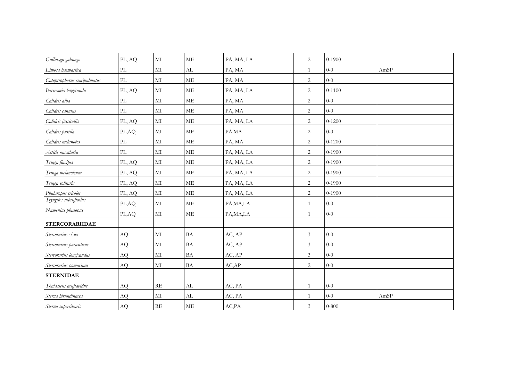| Gallinago galinago          | PL, AQ                          | MI            | ME                         | PA, MA, LA | 2              | $0-1900$   |      |
|-----------------------------|---------------------------------|---------------|----------------------------|------------|----------------|------------|------|
| Limosa haemastica           | $\ensuremath{\text{PL}}\xspace$ | $\rm MI$      | AL                         | PA, MA     | 1              | $0 - 0$    | AmSP |
| Catoptrophorus semipalmatus | PL                              | MI            | <b>ME</b>                  | PA, MA     | $\overline{c}$ | $0 - 0$    |      |
| Bartramia longicauda        | PL, AQ                          | $\rm MI$      | <b>ME</b>                  | PA, MA, LA | $\sqrt{2}$     | $0 - 1100$ |      |
| Calidris alba               | PL                              | $\rm MI$      | ME                         | PA, MA     | $\overline{c}$ | $0 - 0$    |      |
| Calidris canutus            | PL                              | MI            | <b>ME</b>                  | PA, MA     | $\sqrt{2}$     | $0 - 0$    |      |
| Calidris fuscicollis        | PL, AQ                          | MI            | ME                         | PA, MA, LA | 2              | $0 - 1200$ |      |
| Calidris pusilla            | PL,AQ                           | MI            | ME                         | PA.MA      | $\sqrt{2}$     | $0-0$      |      |
| Calidris melanotos          | $\mathbf{PL}$                   | $\rm MI$      | $\operatorname{ME}$        | PA, MA     | $\overline{c}$ | $0 - 1200$ |      |
| Actitis macularia           | PL                              | $\rm MI$      | ME                         | PA, MA, LA | $\sqrt{2}$     | $0 - 1900$ |      |
| Tringa flavipes             | PL, AQ                          | MI            | ME                         | PA, MA, LA | $\overline{c}$ | $0 - 1900$ |      |
| Tringa melanoleuca          | PL, AQ                          | MI            | $\operatorname{ME}$        | PA, MA, LA | $\overline{c}$ | $0 - 1900$ |      |
| Tringa solitaria            | PL, AQ                          | MI            | $\operatorname{ME}$        | PA, MA, LA | $\overline{c}$ | $0 - 1900$ |      |
| Phalaropus tricolor         | PL, AQ                          | MI            | ME                         | PA, MA, LA | $\overline{c}$ | $0 - 1900$ |      |
| Tryngites subruficollis     | PL,AQ                           | MI            | $\operatorname{ME}$        | PA, MA, LA | $\mathbf{1}$   | $0-0$      |      |
| Numenius phaeopus           | PL,AQ                           | MI            | $\operatorname{ME}$        | PA, MA, LA | $\mathbf{1}$   | $0-0$      |      |
| <b>STERCORARIIDAE</b>       |                                 |               |                            |            |                |            |      |
| Stercorarius skua           | AQ                              | $\rm MI$      | BA                         | AC, AP     | $\mathfrak{Z}$ | $0-0$      |      |
| Stercorarius parasiticus    | AQ                              | $\rm MI$      | <b>BA</b>                  | AC, AP     | $\overline{3}$ | $0 - 0$    |      |
| Stercorarius longicaudus    | AQ                              | $\rm MI$      | $\ensuremath{\mathsf{BA}}$ | AC, AP     | 3              | $0-0$      |      |
| Stercorarius pomarinus      | AQ                              | $\rm MI$      | $\ensuremath{\mathsf{BA}}$ | AC,AP      | $\overline{2}$ | $0-0$      |      |
| <b>STERNIDAE</b>            |                                 |               |                            |            |                |            |      |
| Thalasseus acuflavidus      | AQ                              | $\mathbf{RE}$ | AL                         | AC, PA     | $\mathbf{1}$   | $0-0$      |      |
| Sterna hirundinacea         | AQ                              | MI            | AL                         | AC, PA     | $\mathbf{1}$   | $0 - 0$    | AmSP |
| Sterna superciliaris        | AQ                              | RE            | ME                         | AC, PA     | $\mathfrak{Z}$ | $0 - 800$  |      |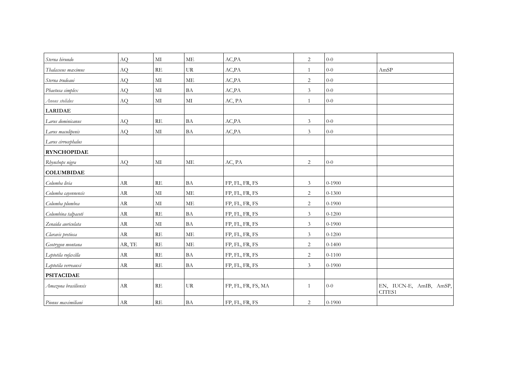| Sterna hirundo       | AQ         | MI            | ME        | AC,PA              | 2              | $0 - 0$    |                                   |
|----------------------|------------|---------------|-----------|--------------------|----------------|------------|-----------------------------------|
| Thalasseus maximus   | <b>AQ</b>  | $\mathbb{RE}$ | UR        | AC,PA              | 1              | $0 - 0$    | AmSP                              |
| Sterna trudeaui      | AQ         | MI            | ME        | AC,PA              | $\overline{c}$ | $0 - 0$    |                                   |
| Phaetusa simplex     | AQ         | $\rm MI$      | BA        | AC, PA             | $\mathfrak{Z}$ | $0 - 0$    |                                   |
| Anous stolidus       | AQ         | MI            | $\rm MI$  | AC, PA             | $\mathbf{1}$   | $0 - 0$    |                                   |
| <b>LARIDAE</b>       |            |               |           |                    |                |            |                                   |
| Larus dominicanus    | AQ         | $\mathbf{RE}$ | <b>BA</b> | AC,PA              | $\mathfrak{Z}$ | $0 - 0$    |                                   |
| Larus maculipenis    | AQ         | $\rm MI$      | BA        | AC, PA             | $\mathfrak{Z}$ | $0 - 0$    |                                   |
| Larus cirrocephalus  |            |               |           |                    |                |            |                                   |
| <b>RYNCHOPIDAE</b>   |            |               |           |                    |                |            |                                   |
| Rhynchops nigra      | AQ         | $\rm MI$      | ME        | AC, PA             | $\overline{c}$ | $0 - 0$    |                                   |
| <b>COLUMBIDAE</b>    |            |               |           |                    |                |            |                                   |
| Columba livia        | AR         | $\mathbf{RE}$ | $\rm BA$  | FP, FL, FR, FS     | $\mathfrak{Z}$ | $0 - 1900$ |                                   |
| Columba cayennensis  | AR         | $\rm MI$      | ME        | FP, FL, FR, FS     | $\overline{2}$ | $0 - 1300$ |                                   |
| Columba plumbea      | AR         | $\rm MI$      | ME        | FP, FL, FR, FS     | $\overline{c}$ | $0 - 1900$ |                                   |
| Columbina talpacoti  | AR         | RE            | BA        | FP, FL, FR, FS     | $\mathfrak{Z}$ | $0 - 1200$ |                                   |
| Zenaida auriculata   | ${\rm AR}$ | $\mathbf{M}$  | BA        | FP, FL, FR, FS     | $\mathfrak{Z}$ | $0 - 1900$ |                                   |
| Claravis pretiosa    | AR         | RE            | ME        | FP, FL, FR, FS     | $\mathfrak{Z}$ | $0 - 1200$ |                                   |
| Geotrygon montana    | AR, TE     | RE            | <b>ME</b> | FP, FL, FR, FS     | $\overline{c}$ | $0 - 1400$ |                                   |
| Leptotila rufaxilla  | AR         | RE            | <b>BA</b> | FP, FL, FR, FS     | $\overline{c}$ | $0 - 1100$ |                                   |
| Leptotila verreauxi  | ${\rm AR}$ | $\mathbf{RE}$ | <b>BA</b> | FP, FL, FR, FS     | $\mathfrak{Z}$ | $0 - 1900$ |                                   |
| <b>PSITACIDAE</b>    |            |               |           |                    |                |            |                                   |
| Amazona brasiliensis | ${\rm AR}$ | RE            | UR        | FP, FL, FR, FS, MA | 1              | $0 - 0$    | EN, IUCN-E, AmIB, AmSP,<br>CITES1 |
| Pionus maximiliani   | ${\rm AR}$ | RE            | <b>BA</b> | FP, FL, FR, FS     | $\overline{c}$ | $0 - 1900$ |                                   |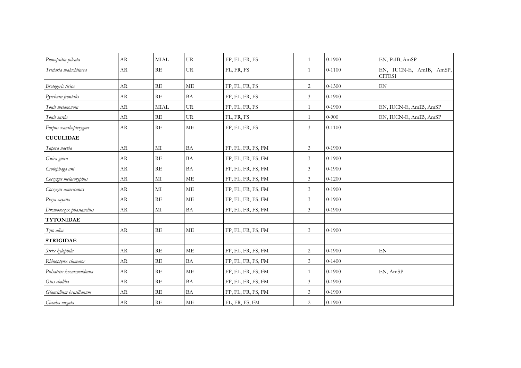| Pionopsitta pileata      | <b>AR</b>  | <b>MIAL</b>   | <b>UR</b>           | FP, FL, FR, FS     | 1              | $0-1900$   | EN, PaIB, AmSP                    |
|--------------------------|------------|---------------|---------------------|--------------------|----------------|------------|-----------------------------------|
| Triclaria malachitacea   | AR         | RE            | <b>UR</b>           | FL, FR, FS         | $\mathbf{1}$   | $0 - 1100$ | EN, IUCN-E, AmIB, AmSP,<br>CITES1 |
| Brotogeris tirica        | ${\rm AR}$ | RE            | <b>ME</b>           | FP, FL, FR, FS     | $\overline{c}$ | $0 - 1300$ | EN                                |
| Pyrrhura frontalis       | ${\rm AR}$ | RE            | BA                  | FP, FL, FR, FS     | $\mathfrak{Z}$ | $0 - 1900$ |                                   |
| Touit melanonota         | AR         | <b>MIAL</b>   | UR                  | FP, FL, FR, FS     | $\mathbf{1}$   | $0 - 1900$ | EN, IUCN-E, AmIB, AmSP            |
| Touit surda              | ${\rm AR}$ | RE            | UR                  | FL, FR, FS         | $\mathbf{1}$   | $0 - 900$  | EN, IUCN-E, AmIB, AmSP            |
| Forpus xanthopterygius   | AR         | RE            | ME                  | FP, FL, FR, FS     | $\mathfrak{Z}$ | $0 - 1100$ |                                   |
| <b>CUCULIDAE</b>         |            |               |                     |                    |                |            |                                   |
| Tapera naevia            | AR         | $\mathbf{M}$  | BA                  | FP, FL, FR, FS, FM | 3              | $0-1900$   |                                   |
| Guira guira              | AR         | RE            | BA                  | FP, FL, FR, FS, FM | 3              | $0 - 1900$ |                                   |
| Crotophaga ani           | <b>AR</b>  | RE            | BA                  | FP, FL, FR, FS, FM | $\mathfrak{Z}$ | $0 - 1900$ |                                   |
| Coccyzus melacoryphus    | AR         | MI            | ME                  | FP, FL, FR, FS, FM | $\mathfrak{Z}$ | $0 - 1200$ |                                   |
| Coccyzus americanus      | AR         | MI            | $\operatorname{ME}$ | FP, FL, FR, FS, FM | $\mathfrak{Z}$ | $0 - 1900$ |                                   |
| Piaya cayana             | AR         | RE            | ME                  | FP, FL, FR, FS, FM | 3              | $0 - 1900$ |                                   |
| Dromococcyx phasianellus | AR         | MI            | BA                  | FP, FL, FR, FS, FM | $\mathfrak{Z}$ | $0 - 1900$ |                                   |
| <b>TYTONIDAE</b>         |            |               |                     |                    |                |            |                                   |
| Tyto alba                | AR         | RE            | ME                  | FP, FL, FR, FS, FM | $\mathfrak{Z}$ | $0-1900$   |                                   |
| <b>STRIGIDAE</b>         |            |               |                     |                    |                |            |                                   |
| Strix hylophila          | <b>AR</b>  | $\mathbf{RE}$ | ME                  | FP, FL, FR, FS, FM | $\overline{2}$ | $0 - 1900$ | $\mathop{\rm EN}\nolimits$        |
| Rhinoptynx clamator      | AR         | RE            | BA                  | FP, FL, FR, FS, FM | $\mathfrak{Z}$ | $0 - 1400$ |                                   |
| Pulsatrix koeniswaldiana | AR         | RE            | ME                  | FP, FL, FR, FS, FM | $\mathbf{1}$   | $0 - 1900$ | EN, AmSP                          |
| Otus choliba             | ${\rm AR}$ | RE            | BA                  | FP, FL, FR, FS, FM | 3              | $0 - 1900$ |                                   |
| Glaucidium brasilianum   | ${\rm AR}$ | RE            | BA                  | FP, FL, FR, FS, FM | 3              | $0 - 1900$ |                                   |
| Ciccaba virgata          | AR         | RE            | ME                  | FL, FR, FS, FM     | $\overline{2}$ | $0 - 1900$ |                                   |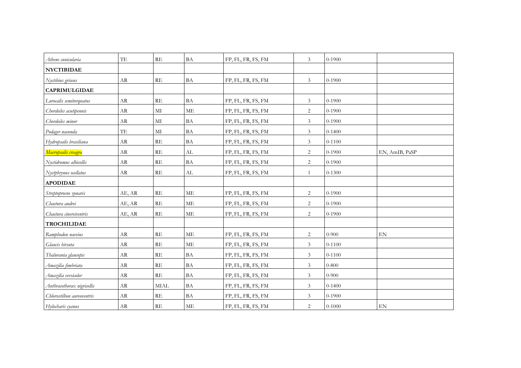| Athene cunicularia         | TE         | RE            | BA        | FP, FL, FR, FS, FM | $\mathfrak{Z}$ | $0 - 1900$ |                |
|----------------------------|------------|---------------|-----------|--------------------|----------------|------------|----------------|
| <b>NYCTIBIDAE</b>          |            |               |           |                    |                |            |                |
| Nyctibius griseus          | AR         | RE            | <b>BA</b> | FP, FL, FR, FS, FM | $\mathfrak{Z}$ | $0 - 1900$ |                |
| <b>CAPRIMULGIDAE</b>       |            |               |           |                    |                |            |                |
| Lurocalis semitorquatus    | ${\rm AR}$ | RE            | <b>BA</b> | FP, FL, FR, FS, FM | $\mathfrak{Z}$ | $0 - 1900$ |                |
| Chordeiles acutipennis     | AR         | $\mathbf{M}$  | ME        | FP, FL, FR, FS, FM | $\sqrt{2}$     | $0 - 1900$ |                |
| Chordeiles minor           | ${\rm AR}$ | $\rm MI$      | <b>BA</b> | FP, FL, FR, FS, FM | $\mathfrak{Z}$ | $0 - 1900$ |                |
| Podager nacunda            | TE         | $\mathbf{M}$  | BA        | FP, FL, FR, FS, FM | $\mathfrak{Z}$ | $0 - 1400$ |                |
| Hydropsalis brasiliana     | ${\rm AR}$ | $\mathbf{RE}$ | <b>BA</b> | FP, FL, FR, FS, FM | $\mathfrak{Z}$ | $0 - 1100$ |                |
| Macropsalis creagra        | <b>AR</b>  | RE            | AL        | FP, FL, FR, FS, FM | $\overline{c}$ | $0 - 1900$ | EN, AmIB, PaSP |
| Nyctidromus albicollis     | AR         | RE            | BA        | FP, FL, FR, FS, FM | $\overline{c}$ | $0 - 1900$ |                |
| Nyctphrynus ocellatus      | ${\rm AR}$ | RE            | AL        | FP, FL, FR, FS, FM | $\mathbf{1}$   | $0 - 1300$ |                |
| <b>APODIDAE</b>            |            |               |           |                    |                |            |                |
| Streptoprocne zonaris      | AE, AR     | $\mathbf{RE}$ | $\rm ME$  | FP, FL, FR, FS, FM | $\overline{c}$ | $0 - 1900$ |                |
| Chaetura andrei            | AE, AR     | RE            | <b>ME</b> | FP, FL, FR, FS, FM | 2              | $0 - 1900$ |                |
| Chaetura cinereiventris    | AE, AR     | RE            | ME        | FP, FL, FR, FS, FM | $\overline{c}$ | $0 - 1900$ |                |
| <b>TROCHILIDAE</b>         |            |               |           |                    |                |            |                |
| Ramphodon naevius          | AR         | RE            | ME        | FP, FL, FR, FS, FM | $\sqrt{2}$     | $0 - 900$  | EN             |
| Glaucis hirsuta            | ${\rm AR}$ | RE            | ME        | FP, FL, FR, FS, FM | 3              | $0 - 1100$ |                |
| Thalurania glaucopis       | AR         | RE            | BA        | FP, FL, FR, FS, FM | $\mathfrak{Z}$ | $0 - 1100$ |                |
| Amazilia fimbriata         | AR         | RE            | BA        | FP, FL, FR, FS, FM | $\mathfrak{Z}$ | $0 - 800$  |                |
| Amazilia versicolor        | AR         | RE            | BA        | FP, FL, FR, FS, FM | $\mathfrak{Z}$ | $0 - 900$  |                |
| Anthracothorax nigricollis | AR         | <b>MIAL</b>   | BA        | FP, FL, FR, FS, FM | $\mathfrak{Z}$ | $0 - 1400$ |                |
| Chlorostilbon aureoventris | AR         | RE            | BA        | FP, FL, FR, FS, FM | $\mathfrak{Z}$ | $0-1900$   |                |
| Hylocharis cyanus          | AR         | RE            | ME        | FP, FL, FR, FS, FM | $\overline{2}$ | $0 - 1000$ | EN             |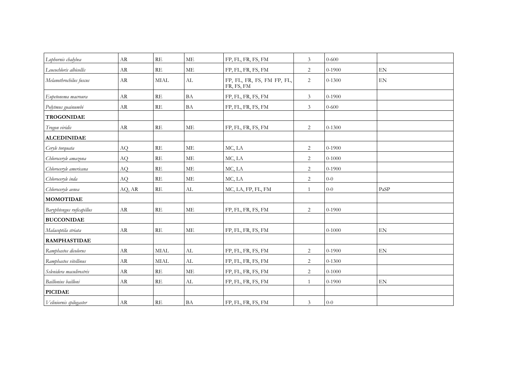| Lophornis chalybea        | AR         | RE            | <b>ME</b>                  | FP, FL, FR, FS, FM                       | 3              | $0 - 600$  |                            |
|---------------------------|------------|---------------|----------------------------|------------------------------------------|----------------|------------|----------------------------|
| Leucochloris albicollis   | AR         | RE            | ME                         | FP, FL, FR, FS, FM                       | $\overline{2}$ | $0 - 1900$ | EN                         |
| Melanothrochilus fuscus   | <b>AR</b>  | <b>MIAL</b>   | AL                         | FP, FL, FR, FS, FM FP, FL,<br>FR, FS, FM | 2              | $0 - 1300$ | $\mathop{\rm EN}\nolimits$ |
| Eupetonema macroura       | AR         | RE            | $\ensuremath{\mathsf{BA}}$ | FP, FL, FR, FS, FM                       | $\mathfrak{Z}$ | $0 - 1900$ |                            |
| Polytmus guainumbi        | AR         | RE            | <b>BA</b>                  | FP, FL, FR, FS, FM                       | $\mathfrak{Z}$ | $0 - 600$  |                            |
| <b>TROGONIDAE</b>         |            |               |                            |                                          |                |            |                            |
| Trogon viridis            | AR         | $\mathbf{RE}$ | ME                         | FP, FL, FR, FS, FM                       | $\overline{c}$ | $0 - 1300$ |                            |
| <b>ALCEDINIDAE</b>        |            |               |                            |                                          |                |            |                            |
| Ceryle torquata           | AQ         | RE            | <b>ME</b>                  | MC, LA                                   | $\sqrt{2}$     | $0 - 1900$ |                            |
| Chloroceryle amazona      | AQ         | $\mathbf{RE}$ | ME                         | MC, LA                                   | 2              | $0 - 1000$ |                            |
| Chloroceryle americana    | AQ         | $\mathbf{RE}$ | ME                         | MC, LA                                   | 2              | $0 - 1900$ |                            |
| Chloroceryle inda         | AQ         | RE            | ME                         | MC, LA                                   | 2              | $0 - 0$    |                            |
| Chloroceryle aenea        | AQ, AR     | RE            | AL                         | MC, LA, FP, FL, FM                       | $\mathbf{1}$   | $0 - 0$    | PaSP                       |
| <b>MOMOTIDAE</b>          |            |               |                            |                                          |                |            |                            |
| Baryphtengus ruficapillus | AR         | RE            | ME                         | FP, FL, FR, FS, FM                       | 2              | $0 - 1900$ |                            |
| <b>BUCCONIDAE</b>         |            |               |                            |                                          |                |            |                            |
| Malacoptila striata       | ${\rm AR}$ | $\mathbf{RE}$ | $\operatorname{ME}$        | FP, FL, FR, FS, FM                       |                | $0 - 1000$ | $\mathop{\rm EN}\nolimits$ |
| <b>RAMPHASTIDAE</b>       |            |               |                            |                                          |                |            |                            |
| Ramphastos dicolorus      | AR         | <b>MIAL</b>   | $\mathrm{AL}$              | FP, FL, FR, FS, FM                       | 2              | $0 - 1900$ | $\mathop{\rm EN}\nolimits$ |
| Ramphastos vitellinus     | AR         | <b>MIAL</b>   | AL                         | FP, FL, FR, FS, FM                       | $\overline{2}$ | $0 - 1300$ |                            |
| Selenidera maculirostris  | AR         | RE            | $\operatorname{ME}$        | FP, FL, FR, FS, FM                       | 2              | $0 - 1000$ |                            |
| Baillonius bailloni       | AR         | RE            | AL                         | FP, FL, FR, FS, FM                       | $\mathbf{1}$   | $0 - 1900$ | EN                         |
| <b>PICIDAE</b>            |            |               |                            |                                          |                |            |                            |
| Veliniornis spilogaster   | AR         | RE            | $\ensuremath{\mathsf{BA}}$ | FP, FL, FR, FS, FM                       | $\mathfrak{Z}$ | $0-0$      |                            |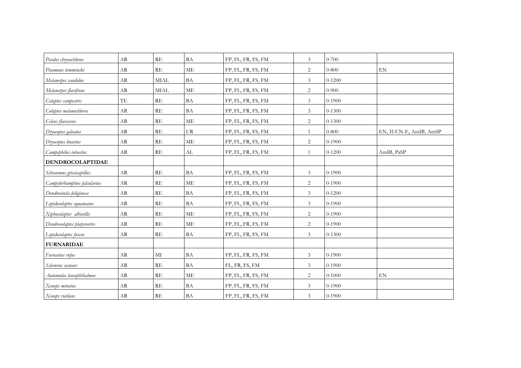| Piculus chrysochloros       | <b>AR</b>  | RE            | BA                         | FP, FL, FR, FS, FM | $\mathfrak{Z}$ | $0 - 700$  |                            |
|-----------------------------|------------|---------------|----------------------------|--------------------|----------------|------------|----------------------------|
| Picumnus temmincki          | AR         | RE            | ME                         | FP, FL, FR, FS, FM | 2              | $0 - 800$  | EN                         |
| Melanerpes candidus         | AR         | <b>MIAL</b>   | <b>BA</b>                  | FP, FL, FR, FS, FM | $\mathfrak{Z}$ | $0 - 1200$ |                            |
| Melanerpes flavifrons       | AR         | <b>MIAL</b>   | <b>ME</b>                  | FP, FL, FR, FS, FM | $\overline{c}$ | $0 - 900$  |                            |
| Colaptes campestris         | TE         | RE            | <b>BA</b>                  | FP, FL, FR, FS, FM | $\mathfrak{Z}$ | $0 - 1900$ |                            |
| Colaptes melanochloros      | AR         | RE            | <b>BA</b>                  | FP, FL, FR, FS, FM | $\mathfrak{Z}$ | $0 - 1300$ |                            |
| Celeus flavescens           | AR         | RE            | ME                         | FP, FL, FR, FS, FM | $\overline{c}$ | $0 - 1300$ |                            |
| Dryocopus galeatus          | AR         | RE            | <b>UR</b>                  | FP, FL, FR, FS, FM | $\mathbf{1}$   | $0 - 800$  | EN, IUCN-E, AmIB, AmSP     |
| Dryocopus linaetus          | AR         | $\mathbf{RE}$ | <b>ME</b>                  | FP, FL, FR, FS, FM | $\overline{c}$ | $0 - 1900$ |                            |
| Campephilus robustus        | <b>AR</b>  | RE            | AL                         | FP, FL, FR, FS, FM | 1              | $0 - 1200$ | AmIB, PaSP                 |
| <b>DENDROCOLAPTIDAE</b>     |            |               |                            |                    |                |            |                            |
| Sittasomus griseicapillus   | AR         | $\mathbf{RE}$ | <b>BA</b>                  | FP, FL, FR, FS, FM | $\mathfrak{Z}$ | $0 - 1900$ |                            |
| Campylorhamphus falcularius | AR         | RE            | МE                         | FP, FL, FR, FS, FM | 2              | $0-1900$   |                            |
| Dendrocincla fuliginosa     | AR         | RE            | <b>BA</b>                  | FP, FL, FR, FS, FM | $\mathfrak{Z}$ | $0 - 1200$ |                            |
| Lepidocolaptes squamatus    | AR         | RE            | <b>BA</b>                  | FP, FL, FR, FS, FM | $\mathfrak{Z}$ | $0 - 1900$ |                            |
| Xiphocolaptes albicollis    | AR         | RE            | ME                         | FP, FL, FR, FS, FM | 2              | $0-1900$   |                            |
| Dendrocolaptes platyrostris | AR         | RE            | <b>ME</b>                  | FP, FL, FR, FS, FM | $\overline{c}$ | $0 - 1900$ |                            |
| Lepidocolaptes fuscus       | AR         | $\mathbf{RE}$ | <b>BA</b>                  | FP, FL, FR, FS, FM | $\mathfrak{Z}$ | $0 - 1300$ |                            |
| <b>FURNARIDAE</b>           |            |               |                            |                    |                |            |                            |
| Furnarius rufus             | AR         | $\rm MI$      | $\ensuremath{\mathsf{BA}}$ | FP, FL, FR, FS, FM | $\mathfrak{Z}$ | $0 - 1900$ |                            |
| Sclerurus scansor           | <b>AR</b>  | RE            | BA                         | FL, FR, FS, FM     | 3              | $0-1900$   |                            |
| Automolus leucophthalmus    | AR         | RE            | <b>ME</b>                  | FP, FL, FR, FS, FM | $\overline{2}$ | $0 - 1000$ | $\mathop{\rm EN}\nolimits$ |
| Xenops minutus              | ${\rm AR}$ | $\mathbf{RE}$ | $\mathbf{BA}$              | FP, FL, FR, FS, FM | $\mathfrak{Z}$ | $0 - 1900$ |                            |
| Xenops rutilans             | AR         | RE            | <b>BA</b>                  | FP, FL, FR, FS, FM | $\overline{3}$ | $0 - 1900$ |                            |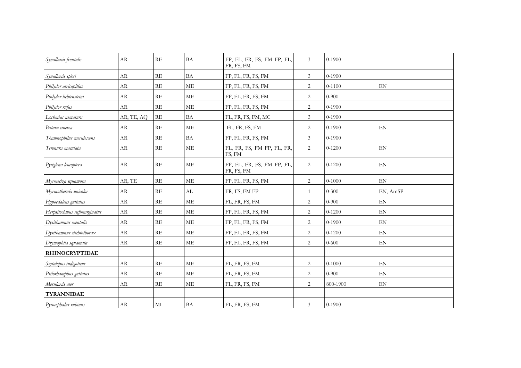| Synallaxis frontalis         | AR         | RE                      | BA        | FP, FL, FR, FS, FM FP, FL,<br>FR, FS, FM | 3              | $0-1900$   |                            |
|------------------------------|------------|-------------------------|-----------|------------------------------------------|----------------|------------|----------------------------|
| Synallaxis spixi             | AR         | RE                      | BA        | FP, FL, FR, FS, FM                       | $\mathfrak{Z}$ | $0 - 1900$ |                            |
| Philydor atricapillus        | AR         | RE                      | ME        | FP, FL, FR, FS, FM                       | 2              | $0 - 1100$ | EN                         |
| Philydor lichtensteini       | AR         | $\mathbb{R}\mathcal{E}$ | <b>ME</b> | FP, FL, FR, FS, FM                       | $\sqrt{2}$     | $0 - 900$  |                            |
| Philydor rufus               | AR         | RE                      | ME        | FP, FL, FR, FS, FM                       | $\overline{c}$ | $0 - 1900$ |                            |
| Lochmias nematura            | AR, TE, AQ | RE                      | BA        | FL, FR, FS, FM, MC                       | $\mathfrak{Z}$ | $0 - 1900$ |                            |
| Batara cinerea               | AR         | RE                      | ME        | FL, FR, FS, FM                           | $\sqrt{2}$     | $0 - 1900$ | $\mathop{\rm EN}\nolimits$ |
| Thamnophilus caerulescens    | AR         | RE                      | BA        | FP, FL, FR, FS, FM                       | 3              | $0 - 1900$ |                            |
| Terenura maculata            | AR         | RE                      | $\rm ME$  | FL, FR, FS, FM FP, FL, FR,<br>FS, FM     | $\overline{c}$ | $0 - 1200$ | $\mathop{\rm EN}\nolimits$ |
| Pyriglena leucoptera         | AR         | RE                      | <b>ME</b> | FP, FL, FR, FS, FM FP, FL,<br>FR, FS, FM | $\overline{c}$ | $0-1200$   | EN                         |
| Myrmeciza squamosa           | AR, TE     | RE                      | <b>ME</b> | FP, FL, FR, FS, FM                       | 2              | $0 - 1000$ | EN                         |
| Myrmotherula unicolor        | AR         | RE                      | AL        | FR, FS, FM FP                            | $\mathbf{1}$   | $0 - 300$  | EN, AmSP                   |
| Hypoedaleus guttatus         | AR         | RE                      | ME        | FL, FR, FS, FM                           | 2              | $0 - 900$  | $\mathop{\rm EN}\nolimits$ |
| Herpsilochmus rufimarginatus | AR         | RE                      | ME        | FP, FL, FR, FS, FM                       | 2              | $0 - 1200$ | EN                         |
| Dysithamnus mentalis         | AR         | RE                      | $\rm ME$  | FP, FL, FR, FS, FM                       | 2              | $0 - 1900$ | $\mathop{\rm EN}\nolimits$ |
| Dysithamnus stichtothorax    | AR         | RE                      | ME        | FP, FL, FR, FS, FM                       | 2              | $0 - 1200$ | $\mathop{\rm EN}\nolimits$ |
| Drymophila squamata          | AR         | RE                      | ME        | FP, FL, FR, FS, FM                       | $\overline{c}$ | $0 - 600$  | $\mathop{\rm EN}\nolimits$ |
| <b>RHINOCRYPTIDAE</b>        |            |                         |           |                                          |                |            |                            |
| Scytalopus indigoticus       | AR         | RE                      | $\rm ME$  | FL, FR, FS, FM                           | 2              | $0 - 1000$ | EN                         |
| Psilorhamphus guttatus       | AR         | RE                      | <b>ME</b> | FL, FR, FS, FM                           | 2              | $0 - 900$  | EN                         |
| Merulaxis ater               | AR         | RE                      | ME        | FL, FR, FS, FM                           | 2              | 800-1900   | $\mathop{\rm EN}\nolimits$ |
| <b>TYRANNIDAE</b>            |            |                         |           |                                          |                |            |                            |
| Pyrocephalus rubinus         | AR         | MI                      | BA        | FL, FR, FS, FM                           | 3              | $0 - 1900$ |                            |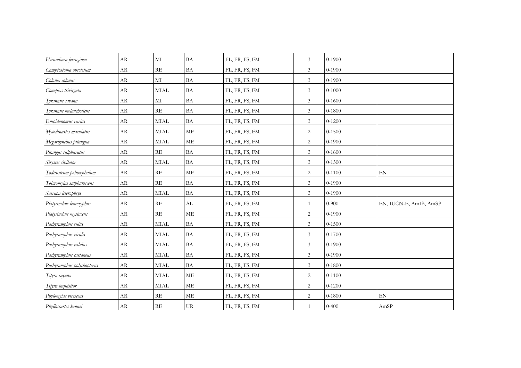| Hirundinea ferruginea      | AR         | MI           | BA                  | FL, FR, FS, FM | 3              | $0 - 1900$ |                        |
|----------------------------|------------|--------------|---------------------|----------------|----------------|------------|------------------------|
| Camptostoma obsoletum      | AR         | RE           | BA                  | FL, FR, FS, FM | $\mathfrak{Z}$ | $0 - 1900$ |                        |
| Colonia colonus            | AR         | MI           | BA                  | FL, FR, FS, FM | $\mathfrak{Z}$ | $0 - 1900$ |                        |
| Conopias trivirgata        | ${\rm AR}$ | <b>MIAL</b>  | BA                  | FL, FR, FS, FM | $\mathfrak{Z}$ | $0 - 1000$ |                        |
| Tyrannus savana            | AR         | $\mathbf{M}$ | <b>BA</b>           | FL, FR, FS, FM | $\mathfrak{Z}$ | $0 - 1600$ |                        |
| Tyrannus melancholicus     | AR         | RE           | BA                  | FL, FR, FS, FM | $\mathfrak{Z}$ | $0 - 1800$ |                        |
| Empidonomus varius         | ${\rm AR}$ | <b>MIAL</b>  | BA                  | FL, FR, FS, FM | $\mathfrak{Z}$ | $0 - 1200$ |                        |
| Myiodinastes maculatus     | AR         | <b>MIAL</b>  | <b>ME</b>           | FL, FR, FS, FM | $\overline{c}$ | $0 - 1500$ |                        |
| Megarhynchus pitangua      | AR         | <b>MIAL</b>  | <b>ME</b>           | FL, FR, FS, FM | $\overline{c}$ | $0 - 1900$ |                        |
| Pitangus sulphuratus       | AR         | RE           | <b>BA</b>           | FL, FR, FS, FM | $\mathfrak{Z}$ | $0 - 1600$ |                        |
| Sirystes sibilator         | AR         | <b>MIAL</b>  | BA                  | FL, FR, FS, FM | 3              | $0 - 1300$ |                        |
| Todirostrum poliocephalum  | AR         | RE           | <b>ME</b>           | FL, FR, FS, FM | $\overline{c}$ | $0 - 1100$ | EN                     |
| Tolmomyias sulphurescens   | AR         | RE           | <b>BA</b>           | FL, FR, FS, FM | $\mathfrak{Z}$ | $0 - 1900$ |                        |
| Satrapa icterophrys        | AR         | <b>MIAL</b>  | <b>BA</b>           | FL, FR, FS, FM | $\mathfrak{Z}$ | $0 - 1900$ |                        |
| Platyrinchus leucoryphus   | AR         | RE           | AL                  | FL, FR, FS, FM | $\mathbf{1}$   | $0 - 900$  | EN, IUCN-E, AmIB, AmSP |
| Platyrinchus mystaceus     | AR         | RE           | <b>ME</b>           | FL, FR, FS, FM | $\overline{c}$ | $0 - 1900$ |                        |
| Pachyramphus rufus         | AR         | <b>MIAL</b>  | <b>BA</b>           | FL, FR, FS, FM | $\mathfrak{Z}$ | $0 - 1500$ |                        |
| Pachyramphus viridis       | AR         | <b>MIAL</b>  | <b>BA</b>           | FL, FR, FS, FM | $\mathfrak{Z}$ | $0 - 1700$ |                        |
| Pachyramphus validus       | AR         | <b>MIAL</b>  | <b>BA</b>           | FL, FR, FS, FM | $\mathfrak{Z}$ | $0 - 1900$ |                        |
| Pachyramphus castaneus     | AR         | <b>MIAL</b>  | BA                  | FL, FR, FS, FM | $\mathfrak{Z}$ | $0 - 1900$ |                        |
| Pachyramphus polychopterus | AR         | <b>MIAL</b>  | BA                  | FL, FR, FS, FM | $\mathfrak{Z}$ | $0 - 1800$ |                        |
| Tityra <u>cayana</u>       | AR         | <b>MIAL</b>  | <b>ME</b>           | FL, FR, FS, FM | $\overline{2}$ | $0 - 1100$ |                        |
| Tityra inquisitor          | AR         | <b>MIAL</b>  | $\operatorname{ME}$ | FL, FR, FS, FM | $\overline{c}$ | $0 - 1200$ |                        |
| Phylomyias virescens       | <b>AR</b>  | RE           | ME                  | FL, FR, FS, FM | $\overline{2}$ | $0 - 1800$ | EN                     |
| Phylloscartes kronei       | AR         | RE           | UR                  | FL, FR, FS, FM | $\mathbf{1}$   | $0 - 400$  | AmSP                   |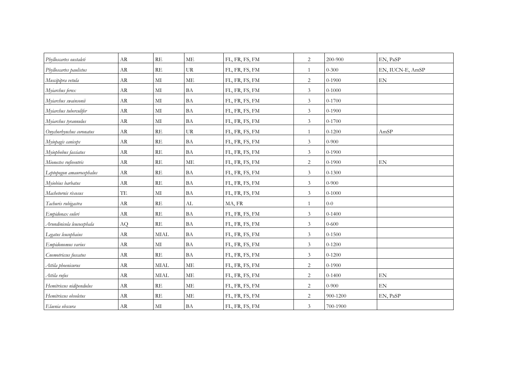| Phylloscartes oustaleti   | AR         | <b>RE</b>     | ME                         | FL, FR, FS, FM | 2              | 200-900    | EN, PaSP                   |
|---------------------------|------------|---------------|----------------------------|----------------|----------------|------------|----------------------------|
| Phylloscartes paulistus   | AR         | RE            | <b>UR</b>                  | FL, FR, FS, FM | 1              | $0 - 300$  | EN, IUCN-E, AmSP           |
| Muscipipra vetula         | AR         | MI            | <b>ME</b>                  | FL, FR, FS, FM | $\overline{c}$ | $0 - 1900$ | EN                         |
| Myiarchus ferox           | ${\rm AR}$ | $\mathbf{M}$  | <b>BA</b>                  | FL, FR, FS, FM | $\mathfrak{Z}$ | $0 - 1000$ |                            |
| Myiarchus swainsonii      | AR         | $\mathbf{M}$  | <b>BA</b>                  | FL, FR, FS, FM | $\mathfrak{Z}$ | $0 - 1700$ |                            |
| Myiarchus tuberculifer    | AR         | $\mathbf{M}$  | BA                         | FL, FR, FS, FM | $\mathfrak{Z}$ | $0 - 1900$ |                            |
| Myiarchus tyrannulus      | AR         | $\mathbf{M}$  | <b>BA</b>                  | FL, FR, FS, FM | $\mathfrak{Z}$ | 0-1700     |                            |
| Onychorhynchus coronatus  | AR         | RE            | UR                         | FL, FR, FS, FM | 1              | $0 - 1200$ | AmSP                       |
| Myiopagis caniceps        | AR         | RE            | <b>BA</b>                  | FL, FR, FS, FM | $\mathfrak{Z}$ | $0-900$    |                            |
| Myiophobus fasciatus      | AR         | $\mathbf{RE}$ | <b>BA</b>                  | FL, FR, FS, FM | $\mathfrak{Z}$ | $0 - 1900$ |                            |
| Mionectes rufiventris     | AR         | RE            | <b>ME</b>                  | FL, FR, FS, FM | $\overline{c}$ | $0 - 1900$ | EN                         |
| Leptopogon amaurocephalus | AR         | RE            | <b>BA</b>                  | FL, FR, FS, FM | $\mathfrak{Z}$ | $0 - 1300$ |                            |
| Myiobius barbatus         | AR         | RE            | <b>BA</b>                  | FL, FR, FS, FM | $\mathfrak{Z}$ | $0-900$    |                            |
| Machetornis rixosus       | TE         | MI            | <b>BA</b>                  | FL, FR, FS, FM | $\mathfrak{Z}$ | $0 - 1000$ |                            |
| Tachuris rubigastra       | AR         | RE            | AL                         | MA, FR         | $\mathbf{1}$   | $0-0$      |                            |
| Empidonax euleri          | AR         | RE            | BA                         | FL, FR, FS, FM | $\mathfrak{Z}$ | $0 - 1400$ |                            |
| Arundinicola leucocephala | AQ         | RE            | BA                         | FL, FR, FS, FM | $\mathfrak{Z}$ | $0 - 600$  |                            |
| Legatus leucophaius       | AR         | <b>MIAL</b>   | <b>BA</b>                  | FL, FR, FS, FM | $\mathfrak{Z}$ | $0 - 1500$ |                            |
| Empidonomus varius        | AR         | MI            | <b>BA</b>                  | FL, FR, FS, FM | $\mathfrak{Z}$ | $0 - 1200$ |                            |
| Cnemotriccus fuscatus     | AR         | RE            | $\ensuremath{\mathsf{BA}}$ | FL, FR, FS, FM | $\mathfrak{Z}$ | $0 - 1200$ |                            |
| Attila phoenicurus        | AR         | <b>MIAL</b>   | <b>ME</b>                  | FL, FR, FS, FM | $\overline{2}$ | $0 - 1900$ |                            |
| Attila rufus              | AR         | MIAL          | ME                         | FL, FR, FS, FM | $\overline{2}$ | $0 - 1400$ | EN                         |
| Hemitriccus nidipendulus  | ${\rm AR}$ | RE            | ME                         | FL, FR, FS, FM | $\overline{c}$ | $0 - 900$  | $\mathop{\rm EN}\nolimits$ |
| Hemitriccus obsoletus     | AR         | RE            | ME                         | FL, FR, FS, FM | $\overline{2}$ | 900-1200   | EN, PaSP                   |
| Elaenia obscura           | AR         | MI            | <b>BA</b>                  | FL, FR, FS, FM | $\mathfrak{Z}$ | 700-1900   |                            |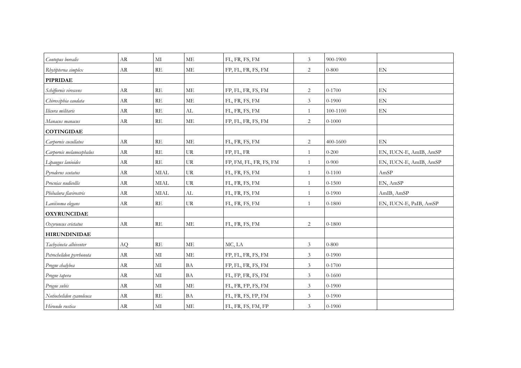| Contopus borealis        | AR         | MI                      | ME                  | FL, FR, FS, FM         | 3              | 900-1900   |                            |
|--------------------------|------------|-------------------------|---------------------|------------------------|----------------|------------|----------------------------|
| Rhytipterna simplex      | AR         | RE                      | <b>ME</b>           | FP, FL, FR, FS, FM     | 2              | $0 - 800$  | $\mathop{\rm EN}\nolimits$ |
| <b>PIPRIDAE</b>          |            |                         |                     |                        |                |            |                            |
| Schiffornis virescens    | AR         | RE                      | <b>ME</b>           | FP, FL, FR, FS, FM     | $\overline{c}$ | $0 - 1700$ | ${\rm EN}$                 |
| Chiroxiphia caudata      | AR         | RE                      | <b>ME</b>           | FL, FR, FS, FM         | 3              | $0 - 1900$ | EN                         |
| Ilicura militaris        | AR         | RE                      | AL                  | FL, FR, FS, FM         | $\mathbf{1}$   | 100-1100   | EN                         |
| Manacus manacus          | ${\rm AR}$ | $\mathbb{R}\mathcal{E}$ | $\operatorname{ME}$ | FP, FL, FR, FS, FM     | $\overline{c}$ | $0 - 1000$ |                            |
| <b>COTINGIDAE</b>        |            |                         |                     |                        |                |            |                            |
| Carpornis cucullatus     | AR         | $\mathbf{RE}$           | ME                  | FL, FR, FS, FM         | $\overline{c}$ | 400-1600   | EN                         |
| Carpornis melanocephalus | AR         | RE                      | <b>UR</b>           | FP, FL, FR             | $\mathbf{1}$   | $0 - 200$  | EN, IUCN-E, AmIB, AmSP     |
| Lipaugus lanioides       | AR         | RE                      | <b>UR</b>           | FP, FM, FL, FR, FS, FM | $\mathbf{1}$   | $0 - 900$  | EN, IUCN-E, AmIB, AmSP     |
| Pyroderus scutatus       | AR         | <b>MIAL</b>             | <b>UR</b>           | FL, FR, FS, FM         | $\mathbf{1}$   | $0 - 1100$ | AmSP                       |
| Procnias nudicollis      | AR         | <b>MIAL</b>             | <b>UR</b>           | FL, FR, FS, FM         | $\mathbf{1}$   | $0 - 1500$ | EN, AmSP                   |
| Phibalura flavirostris   | AR         | <b>MIAL</b>             | AL                  | FL, FR, FS, FM         | $\mathbf{1}$   | $0 - 1900$ | AmIB, AmSP                 |
| Laniisoma elegans        | AR         | RE                      | UR                  | FL, FR, FS, FM         | $\overline{1}$ | $0 - 1800$ | EN, IUCN-E, PaIB, AmSP     |
| <b>OXYRUNCIDAE</b>       |            |                         |                     |                        |                |            |                            |
| Oxyruncus cristatus      | AR         | RE                      | <b>ME</b>           | FL, FR, FS, FM         | 2              | $0 - 1800$ |                            |
| <b>HIRUNDINIDAE</b>      |            |                         |                     |                        |                |            |                            |
| Tachycineta albiventer   | AQ.        | RE                      | $\rm ME$            | MC, LA                 | 3              | $0 - 800$  |                            |
| Petrochelidon pyrrhonota | AR         | $\mathbf{M}$            | $\rm ME$            | FP, FL, FR, FS, FM     | 3              | $0 - 1900$ |                            |
| Progne chalybea          | AR         | MI                      | BA                  | FP, FL, FR, FS, FM     | 3              | $0 - 1700$ |                            |
| Progne tapera            | AR         | MI                      | BA                  | FL, FP, FR, FS, FM     | 3              | $0 - 1600$ |                            |
| Progne subis             | AR         | $\rm MI$                | $\rm ME$            | FL, FR, FP, FS, FM     | 3              | $0 - 1900$ |                            |
| Notiochelidon cyanoleuca | AR         | RE                      | <b>BA</b>           | FL, FR, FS, FP, FM     | 3              | $0 - 1900$ |                            |
| Hirundo rustica          | AR         | MI                      | ME                  | FL, FR, FS, FM, FP     | 3              | $0 - 1900$ |                            |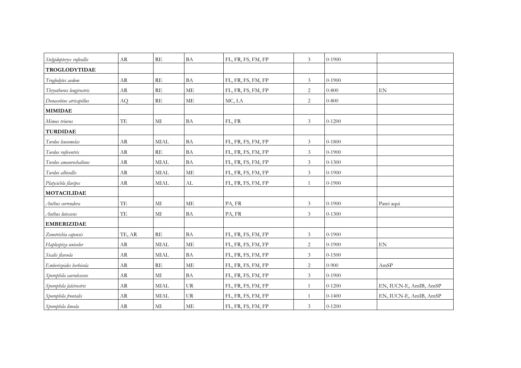| Stelgidopteryx ruficollis | AR            | <b>RE</b>             | BA                         | FL, FR, FS, FM, FP | $\mathfrak{Z}$ | $0-1900$   |                        |
|---------------------------|---------------|-----------------------|----------------------------|--------------------|----------------|------------|------------------------|
| <b>TROGLODYTIDAE</b>      |               |                       |                            |                    |                |            |                        |
| Troglodytes aedom         | <b>AR</b>     | RE                    | BA                         | FL, FR, FS, FM, FP | $\mathfrak{Z}$ | $0 - 1900$ |                        |
| Thryothorus longirostris  | ${\rm AR}$    | RE                    | <b>ME</b>                  | FL, FR, FS, FM, FP | $\sqrt{2}$     | $0 - 800$  | EN                     |
| Donacobius atricapillus   | AQ            | RE                    | <b>ME</b>                  | MC, LA             | $\overline{c}$ | $0 - 800$  |                        |
| <b>MIMIDAE</b>            |               |                       |                            |                    |                |            |                        |
| Mimus triurus             | $\mathrm{TE}$ | MI                    | $\ensuremath{\mathsf{BA}}$ | FL, FR             | $\mathfrak{Z}$ | $0 - 1200$ |                        |
| <b>TURDIDAE</b>           |               |                       |                            |                    |                |            |                        |
| Turdus leucomelas         | AR            | <b>MIAL</b>           | <b>BA</b>                  | FL, FR, FS, FM, FP | $\mathfrak{Z}$ | $0 - 1800$ |                        |
| Turdus rufiventris        | AR            | RE                    | <b>BA</b>                  | FL, FR, FS, FM, FP | $\mathfrak{Z}$ | $0 - 1900$ |                        |
| Turdus amaurochalinus     | AR            | <b>MIAL</b>           | <b>BA</b>                  | FL, FR, FS, FM, FP | $\mathfrak{Z}$ | $0 - 1300$ |                        |
| Turdus albicollis         | AR            | <b>MIAL</b>           | <b>ME</b>                  | FL, FR, FS, FM, FP | $\mathfrak{Z}$ | $0 - 1900$ |                        |
| Platycichla flavipes      | AR            | <b>MIAL</b>           | $\mathrm{AL}$              | FL, FR, FS, FM, FP | $\mathbf{1}$   | $0 - 1900$ |                        |
| <b>MOTACILIDAE</b>        |               |                       |                            |                    |                |            |                        |
| Anthus correndera         | TE            | MI                    | ME                         | PA, FR             | $\mathfrak{Z}$ | $0 - 1900$ | Parei aqui             |
| Anthus lutescens          | TE            | MI                    | BA                         | PA, FR             | 3              | $0 - 1300$ |                        |
| <b>EMBERIZIDAE</b>        |               |                       |                            |                    |                |            |                        |
| Zonotrichia capensis      | TE, AR        | RE                    | BA                         | FL, FR, FS, FM, FP | $\mathfrak{Z}$ | $0 - 1900$ |                        |
| Haplospiza unicolor       | AR            | <b>MIAL</b>           | <b>ME</b>                  | FL, FR, FS, FM, FP | $\overline{c}$ | $0 - 1900$ | EN                     |
| Sicalis flaveola          | AR            | $\operatorname{MIAL}$ | $\ensuremath{\mathsf{BA}}$ | FL, FR, FS, FM, FP | $\overline{3}$ | $0 - 1500$ |                        |
| Emberizoides herbicola    | AR            | RE                    | <b>ME</b>                  | FL, FR, FS, FM, FP | $\overline{2}$ | $0 - 900$  | AmSP                   |
| Sporophila caerulescens   | AR            | $\mathbf{M}$          | <b>BA</b>                  | FL, FR, FS, FM, FP | 3              | $0 - 1900$ |                        |
| Sporophila falcirostris   | ${\rm AR}$    | $\operatorname{MIAL}$ | UR                         | FL, FR, FS, FM, FP | $\mathbf{1}$   | $0 - 1200$ | EN, IUCN-E, AmIB, AmSP |
| Sporophila frontalis      | <b>AR</b>     | <b>MIAL</b>           | <b>UR</b>                  | FL, FR, FS, FM, FP | $\mathbf{1}$   | $0-1400$   | EN, IUCN-E, AmIB, AmSP |
| Sporophila lineola        | AR            | $\rm MI$              | ME                         | FL, FR, FS, FM, FP | $\mathfrak{Z}$ | $0 - 1200$ |                        |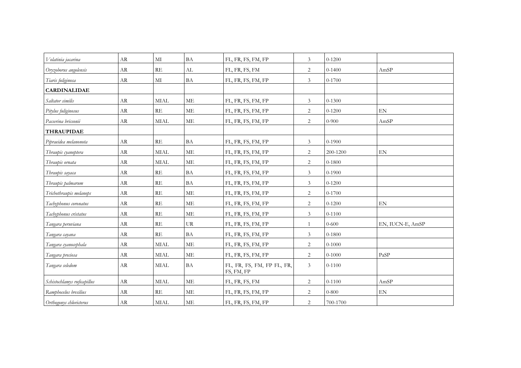| Volatinia jacarina          | AR        | MI                      | BA        | FL, FR, FS, FM, FP                       | 3              | $0 - 1200$ |                            |
|-----------------------------|-----------|-------------------------|-----------|------------------------------------------|----------------|------------|----------------------------|
| Oryzoborus angolensis       | AR        | RE                      | AL        | FL, FR, FS, FM                           | $\overline{c}$ | $0-1400$   | AmSP                       |
| Tiaris fuliginosa           | AR        | МI                      | <b>BA</b> | FL, FR, FS, FM, FP                       | 3              | $0 - 1700$ |                            |
| <b>CARDINALIDAE</b>         |           |                         |           |                                          |                |            |                            |
| Saltator similis            | AR        | $\operatorname{MIAL}$   | $\rm ME$  | FL, FR, FS, FM, FP                       | 3              | $0 - 1300$ |                            |
| Pitylus fuliginosus         | AR        | RE                      | ME        | FL, FR, FS, FM, FP                       | 2              | $0 - 1200$ | EN                         |
| Passerina brissonii         | AR        | <b>MIAL</b>             | ME        | FL, FR, FS, FM, FP                       | 2              | $0 - 900$  | AmSP                       |
| <b>THRAUPIDAE</b>           |           |                         |           |                                          |                |            |                            |
| Pipraeidea melanonota       | AR        | RE                      | BA        | FL, FR, FS, FM, FP                       | $\mathfrak{Z}$ | $0 - 1900$ |                            |
| Thraupis cyanoptera         | AR        | <b>MIAL</b>             | ME        | FL, FR, FS, FM, FP                       | $\overline{2}$ | 200-1200   | $\mathop{\rm EN}\nolimits$ |
| Thraupis ornata             | AR        | <b>MIAL</b>             | $\rm ME$  | FL, FR, FS, FM, FP                       | $\overline{c}$ | $0 - 1800$ |                            |
| Thraupis sayaca             | AR        | RE                      | BA        | FL, FR, FS, FM, FP                       | $\mathfrak{Z}$ | $0 - 1900$ |                            |
| Thraupis palmarum           | AR        | RE                      | <b>BA</b> | FL, FR, FS, FM, FP                       | $\mathfrak{Z}$ | $0 - 1200$ |                            |
| Trichothraupis melanops     | AR        | $\mathbb{R}\mathcal{E}$ | $\rm ME$  | FL, FR, FS, FM, FP                       | $\overline{c}$ | $0 - 1700$ |                            |
| Tachyphonus coronatus       | AR        | RE                      | <b>ME</b> | FL, FR, FS, FM, FP                       | $\overline{2}$ | $0 - 1200$ | $\mathop{\rm EN}\nolimits$ |
| Tachyphonus cristatus       | AR        | RE                      | <b>ME</b> | FL, FR, FS, FM, FP                       | 3              | $0 - 1100$ |                            |
| Tangara peruviana           | AR        | RE                      | UR        | FL, FR, FS, FM, FP                       | $\mathbf{1}$   | $0 - 600$  | EN, IUCN-E, AmSP           |
| Tangara cayana              | AR        | RE                      | BA        | FL, FR, FS, FM, FP                       | 3              | $0 - 1800$ |                            |
| Tangara cyanocephala        | AR        | <b>MIAL</b>             | ME        | FL, FR, FS, FM, FP                       | $\sqrt{2}$     | $0 - 1000$ |                            |
| Tangara preciosa            | <b>AR</b> | <b>MIAL</b>             | ME        | FL, FR, FS, FM, FP                       | $\overline{2}$ | $0 - 1000$ | PaSP                       |
| Tangara seledom             | AR        | <b>MIAL</b>             | <b>BA</b> | FL, FR, FS, FM, FP FL, FR,<br>FS, FM, FP | 3              | $0 - 1100$ |                            |
| Schistochlamys ruficapillus | AR        | <b>MIAL</b>             | ME        | FL, FR, FS, FM                           | $\overline{2}$ | $0 - 1100$ | AmSP                       |
| Ramphocelus bresilius       | AR        | RE                      | <b>ME</b> | FL, FR, FS, FM, FP                       | 2              | $0 - 800$  | $\mathop{\rm EN}\nolimits$ |
| Orthogonys chloricterus     | AR        | <b>MIAL</b>             | ME        | FL, FR, FS, FM, FP                       | 2              | 700-1700   |                            |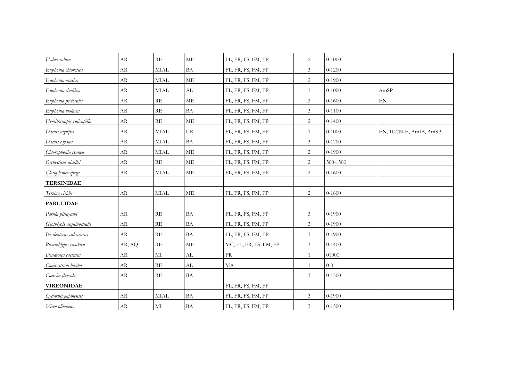| Habia rubica              | <b>AR</b>  | RE          | ME                         | FL, FR, FS, FM, FP     | 2                           | $0 - 1000$ |                            |
|---------------------------|------------|-------------|----------------------------|------------------------|-----------------------------|------------|----------------------------|
| Euphonia chlorotica       | ${\rm AR}$ | <b>MIAL</b> | $\ensuremath{\mathsf{BA}}$ | FL, FR, FS, FM, FP     | $\mathfrak{Z}$              | $0 - 1200$ |                            |
| Euphonia musica           | <b>AR</b>  | <b>MIAL</b> | <b>ME</b>                  | FL, FR, FS, FM, FP     | $\overline{c}$              | $0 - 1900$ |                            |
| Euphonia chalibea         | ${\rm AR}$ | <b>MIAL</b> | AL                         | FL, FR, FS, FM, FP     | 1                           | $0 - 1000$ | AmSP                       |
| Euphonia pectoralis       | AR         | RE          | ME                         | FL, FR, FS, FM, FP     | $\overline{c}$              | $0 - 1600$ | $\mathop{\rm EN}\nolimits$ |
| Euphonia violacea         | <b>AR</b>  | RE          | BA                         | FL, FR, FS, FM, FP     | $\mathfrak{Z}$              | $0 - 1100$ |                            |
| Hemithraupis ruficapilla  | AR         | RE          | <b>ME</b>                  | FL, FR, FS, FM, FP     | 2                           | $0 - 1400$ |                            |
| Dacnis nigripes           | AR         | <b>MIAL</b> | UR                         | FL, FR, FS, FM, FP     | 1                           | $0 - 1000$ | EN, IUCN-E, AmIB, AmSP     |
| Dacnis cayana             | AR         | <b>MIAL</b> | <b>BA</b>                  | FL, FR, FS, FM, FP     | $\mathfrak{Z}$              | $0 - 1200$ |                            |
| Chlorophonia cyanea       | AR         | <b>MIAL</b> | ME                         | FL, FR, FS, FM, FP     | $\sqrt{2}$                  | $0 - 1900$ |                            |
| Orchesticus abeillei      | AR         | RE          | <b>ME</b>                  | FL, FR, FS, FM, FP     | $\overline{2}$              | 500-1500   |                            |
| Clorophanes spiza         | AR         | <b>MIAL</b> | <b>ME</b>                  | FL, FR, FS, FM, FP     | $\overline{c}$              | $0 - 1600$ |                            |
| <b>TERSINIDAE</b>         |            |             |                            |                        |                             |            |                            |
| Tersina viridis           | AR         | <b>MIAL</b> | <b>ME</b>                  | FL, FR, FS, FM, FP     | 2                           | $0 - 1600$ |                            |
| <b>PARULIDAE</b>          |            |             |                            |                        |                             |            |                            |
| Parula pitiayumi          | AR         | RE          | <b>BA</b>                  | FL, FR, FS, FM, FP     | $\ensuremath{\mathfrak{Z}}$ | $0 - 1900$ |                            |
| Geothlypis aequinoctialis | AR         | RE          | <b>BA</b>                  | FL, FR, FS, FM, FP     | $\mathfrak{Z}$              | $0 - 1900$ |                            |
| Basileuterus culicivorus  | AR         | RE          | <b>BA</b>                  | FL, FR, FS, FM, FP     | $\mathfrak{Z}$              | $0 - 1900$ |                            |
| Phaeothlypis rivularis    | AR, AQ     | RE          | <b>ME</b>                  | MC, FL, FR, FS, FM, FP | 3                           | $0 - 1400$ |                            |
| Dendroica caerulea        | AR         | MI          | AL                         | ${\rm FR}$             | $\mathbf{1}$                | 01000      |                            |
| Conirostrum bicolor       | AR         | RE          | AL                         | MA                     | $\mathbf{1}$                | $0 - 0$    |                            |
| Coereba flaveola          | AR         | RE          | <b>BA</b>                  |                        | 3                           | $0 - 1500$ |                            |
| <b>VIREONIDAE</b>         |            |             |                            | FL, FR, FS, FM, FP     |                             |            |                            |
| Cyclarhis gujanensis      | <b>AR</b>  | <b>MIAL</b> | <b>BA</b>                  | FL, FR, FS, FM, FP     | $\mathfrak{Z}$              | $0-1900$   |                            |
| Vireo olivaceus           | AR         | $\rm MI$    | <b>BA</b>                  | FL, FR, FS, FM, FP     | $\mathfrak{Z}$              | $0 - 1500$ |                            |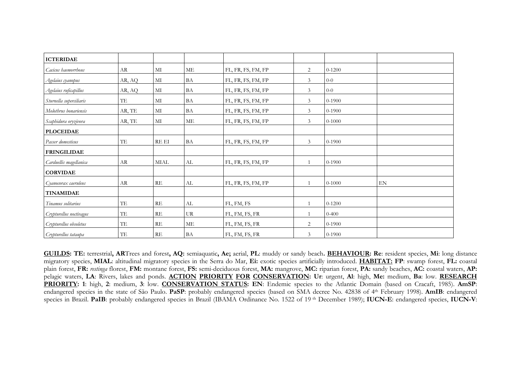| <b>ICTERIDAE</b>        |        |             |           |                    |                |            |    |
|-------------------------|--------|-------------|-----------|--------------------|----------------|------------|----|
| Cacicus haemorrhous     | AR     | MI          | ME        | FL, FR, FS, FM, FP | $\overline{c}$ | $0 - 1200$ |    |
| Agelaius cyanopus       | AR, AQ | МI          | <b>BA</b> | FL, FR, FS, FM, FP | $\mathfrak{Z}$ | $0-0$      |    |
| Agelaius ruficapillus   | AR, AQ | MI          | BA        | FL, FR, FS, FM, FP | 3              | $0-0$      |    |
| Sturnella superciliaris | TE     | МI          | BA        | FL, FR, FS, FM, FP | 3              | $0 - 1900$ |    |
| Molothrus bonariensis   | AR, TE | MI          | <b>BA</b> | FL, FR, FS, FM, FP | 3              | $0 - 1900$ |    |
| Scaphidura oryzivora    | AR, TE | MI          | ME        | FL, FR, FS, FM, FP | 3              | $0 - 1000$ |    |
| <b>PLOCEIDAE</b>        |        |             |           |                    |                |            |    |
| Passer domesticus       | TE     | RE EI       | <b>BA</b> | FL, FR, FS, FM, FP | 3              | $0 - 1900$ |    |
| <b>FRINGILIDAE</b>      |        |             |           |                    |                |            |    |
| Carduellis magellanica  | AR     | <b>MIAL</b> | AL        | FL, FR, FS, FM, FP | $\mathbf{1}$   | $0-1900$   |    |
| <b>CORVIDAE</b>         |        |             |           |                    |                |            |    |
| Cyanocorax caeruleus    | AR     | RE          | AL        | FL, FR, FS, FM, FP | $\mathbf{1}$   | $0 - 1000$ | EN |
| <b>TINAMIDAE</b>        |        |             |           |                    |                |            |    |
| Tinamus solitarius      | TE     | RE          | AL        | FL, FM, FS         | $\mathbf{1}$   | $0 - 1200$ |    |
| Crypturellus noctivagus | TE     | RE          | UR        | FL, FM, FS, FR     | $\mathbf{1}$   | $0 - 400$  |    |
| Crypturellus obsoletus  | TE     | RE          | ME        | FL, FM, FS, FR     | 2              | $0 - 1900$ |    |
| Crypturellus tataupa    | TE     | RE          | BA        | FL, FM, FS, FR     | 3              | $0 - 1900$ |    |

**GUILDS: TE:** terrestrial**, AR**Trees and forest**, AQ:** semiaquatic**, Ae;** aerial, **PL**: muddy or sandy beach**. BEHAVIOUR: Re**: resident species, **Mi**: long distance migratory species, **MIAL**: altitudinal migratory species in the Serra do Mar, **Ei:** exotic species artificially introduced. **HABITAT: FP**: swamp forest, **FL:** coastal plain forest, **FR:** *restinga* florest, **FM:** montane forest, **FS:** semi-deciduous forest, **MA:** mangrove, **MC:** riparian forest, **PA:** sandy beaches, **AC:** coastal waters, **AP:** pelagic waters, **LA**: Rivers, lakes and ponds. **ACTION PRIORITY FOR CONSERVATION: Ur**: urgent, **Al**: high, **Me:** medium, **Ba**: low. **RESEARCH PRIORITY: <sup>1</sup>**: high, **2**: medium, **3**: low. **CONSERVATION STATUS: EN**: Endemic species to the Atlantic Domain (based on Cracaft, 1985). **AmSP**: endangered species in the state of São Paulo. **PaSP**: probably endangered species (based on SMA decree No. 42838 of 4th February 1998). **AmIB**: endangered species in Brazil. **PaIB**: probably endangered species in Brazil (IBAMA Ordinance No. 1522 of 19 th December 1989); **IUCN-E**: endangered species, **IUCN-V**: